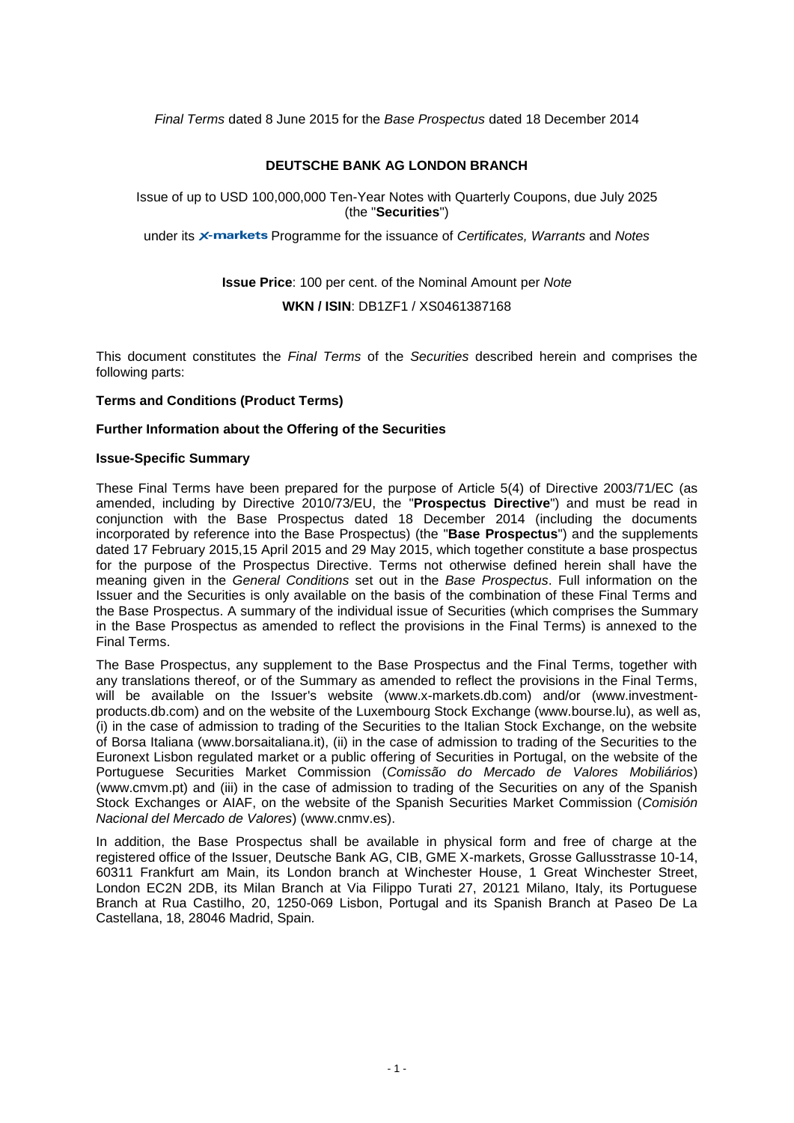*Final Terms* dated 8 June 2015 for the *Base Prospectus* dated 18 December 2014

### **DEUTSCHE BANK AG LONDON BRANCH**

Issue of up to USD 100,000,000 Ten-Year Notes with Quarterly Coupons, due July 2025 (the "**Securities**")

under its *x***-markets** Programme for the issuance of *Certificates, Warrants* and *Notes* 

**Issue Price**: 100 per cent. of the Nominal Amount per *Note*

**WKN / ISIN**: DB1ZF1 / XS0461387168

This document constitutes the *Final Terms* of the *Securities* described herein and comprises the following parts:

### **Terms and Conditions (Product Terms)**

### **Further Information about the Offering of the Securities**

### **Issue-Specific Summary**

These Final Terms have been prepared for the purpose of Article 5(4) of Directive 2003/71/EC (as amended, including by Directive 2010/73/EU, the "**Prospectus Directive**") and must be read in conjunction with the Base Prospectus dated 18 December 2014 (including the documents incorporated by reference into the Base Prospectus) (the "**Base Prospectus**") and the supplements dated 17 February 2015,15 April 2015 and 29 May 2015, which together constitute a base prospectus for the purpose of the Prospectus Directive. Terms not otherwise defined herein shall have the meaning given in the *General Conditions* set out in the *Base Prospectus*. Full information on the Issuer and the Securities is only available on the basis of the combination of these Final Terms and the Base Prospectus. A summary of the individual issue of Securities (which comprises the Summary in the Base Prospectus as amended to reflect the provisions in the Final Terms) is annexed to the Final Terms.

The Base Prospectus, any supplement to the Base Prospectus and the Final Terms, together with any translations thereof, or of the Summary as amended to reflect the provisions in the Final Terms, will be available on the Issuer's website (www.x-markets.db.com) and/or (www.investmentproducts.db.com) and on the website of the Luxembourg Stock Exchange (www.bourse.lu), as well as, (i) in the case of admission to trading of the Securities to the Italian Stock Exchange, on the website of Borsa Italiana (www.borsaitaliana.it), (ii) in the case of admission to trading of the Securities to the Euronext Lisbon regulated market or a public offering of Securities in Portugal, on the website of the Portuguese Securities Market Commission (*Comissão do Mercado de Valores Mobiliários*) (www.cmvm.pt) and (iii) in the case of admission to trading of the Securities on any of the Spanish Stock Exchanges or AIAF, on the website of the Spanish Securities Market Commission (*Comisión Nacional del Mercado de Valores*) (www.cnmv.es).

In addition, the Base Prospectus shall be available in physical form and free of charge at the registered office of the Issuer, Deutsche Bank AG, CIB, GME X-markets, Grosse Gallusstrasse 10-14, 60311 Frankfurt am Main, its London branch at Winchester House, 1 Great Winchester Street, London EC2N 2DB, its Milan Branch at Via Filippo Turati 27, 20121 Milano, Italy, its Portuguese Branch at Rua Castilho, 20, 1250-069 Lisbon, Portugal and its Spanish Branch at Paseo De La Castellana, 18, 28046 Madrid, Spain*.*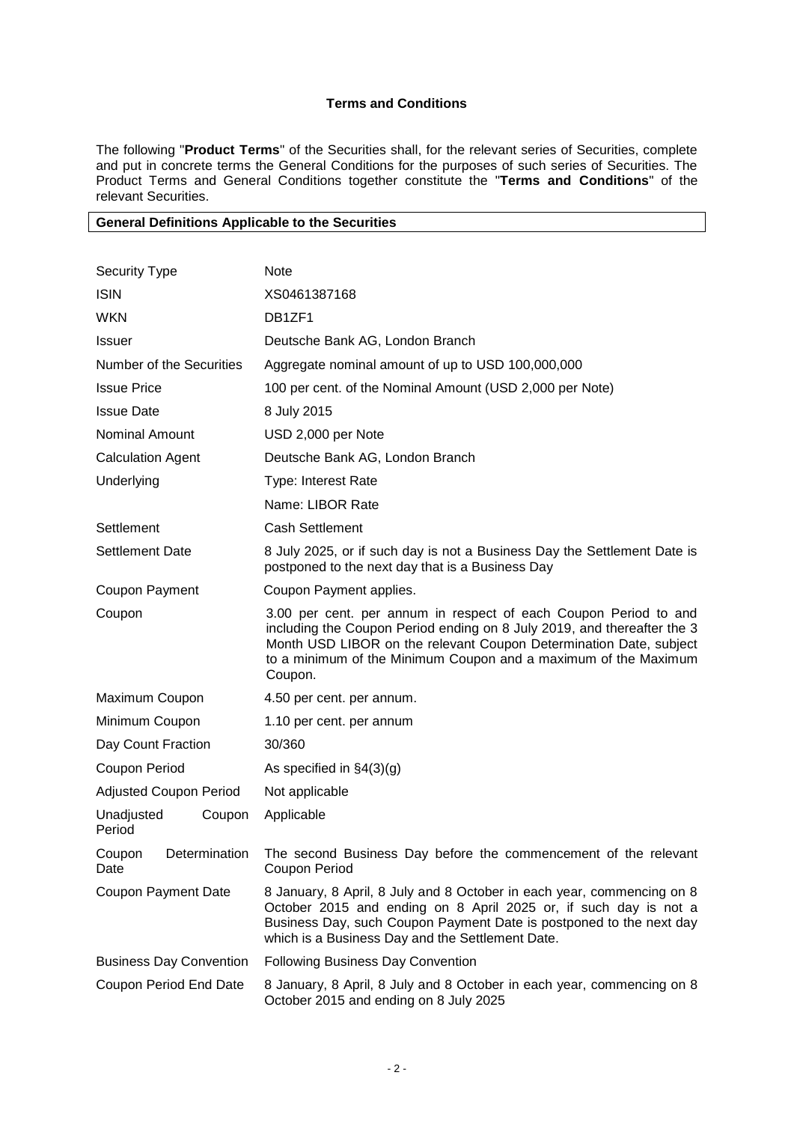# **Terms and Conditions**

The following "**Product Terms**" of the Securities shall, for the relevant series of Securities, complete and put in concrete terms the General Conditions for the purposes of such series of Securities. The Product Terms and General Conditions together constitute the "**Terms and Conditions**" of the relevant Securities.

### **General Definitions Applicable to the Securities**

| <b>Security Type</b>            | <b>Note</b>                                                                                                                                                                                                                                                                                     |  |  |  |  |
|---------------------------------|-------------------------------------------------------------------------------------------------------------------------------------------------------------------------------------------------------------------------------------------------------------------------------------------------|--|--|--|--|
| <b>ISIN</b>                     | XS0461387168                                                                                                                                                                                                                                                                                    |  |  |  |  |
| <b>WKN</b>                      | DB1ZF1                                                                                                                                                                                                                                                                                          |  |  |  |  |
| <b>Issuer</b>                   | Deutsche Bank AG, London Branch                                                                                                                                                                                                                                                                 |  |  |  |  |
| Number of the Securities        | Aggregate nominal amount of up to USD 100,000,000                                                                                                                                                                                                                                               |  |  |  |  |
| <b>Issue Price</b>              | 100 per cent. of the Nominal Amount (USD 2,000 per Note)                                                                                                                                                                                                                                        |  |  |  |  |
| <b>Issue Date</b>               | 8 July 2015                                                                                                                                                                                                                                                                                     |  |  |  |  |
| <b>Nominal Amount</b>           | USD 2,000 per Note                                                                                                                                                                                                                                                                              |  |  |  |  |
| <b>Calculation Agent</b>        | Deutsche Bank AG, London Branch                                                                                                                                                                                                                                                                 |  |  |  |  |
| Underlying                      | Type: Interest Rate                                                                                                                                                                                                                                                                             |  |  |  |  |
|                                 | Name: LIBOR Rate                                                                                                                                                                                                                                                                                |  |  |  |  |
| Settlement                      | <b>Cash Settlement</b>                                                                                                                                                                                                                                                                          |  |  |  |  |
| <b>Settlement Date</b>          | 8 July 2025, or if such day is not a Business Day the Settlement Date is<br>postponed to the next day that is a Business Day                                                                                                                                                                    |  |  |  |  |
| Coupon Payment                  | Coupon Payment applies.                                                                                                                                                                                                                                                                         |  |  |  |  |
| Coupon                          | 3.00 per cent. per annum in respect of each Coupon Period to and<br>including the Coupon Period ending on 8 July 2019, and thereafter the 3<br>Month USD LIBOR on the relevant Coupon Determination Date, subject<br>to a minimum of the Minimum Coupon and a maximum of the Maximum<br>Coupon. |  |  |  |  |
| Maximum Coupon                  | 4.50 per cent. per annum.                                                                                                                                                                                                                                                                       |  |  |  |  |
| Minimum Coupon                  | 1.10 per cent. per annum                                                                                                                                                                                                                                                                        |  |  |  |  |
| Day Count Fraction              | 30/360                                                                                                                                                                                                                                                                                          |  |  |  |  |
| Coupon Period                   | As specified in $\S4(3)(g)$                                                                                                                                                                                                                                                                     |  |  |  |  |
| <b>Adjusted Coupon Period</b>   | Not applicable                                                                                                                                                                                                                                                                                  |  |  |  |  |
| Unadjusted<br>Coupon<br>Period  | Applicable                                                                                                                                                                                                                                                                                      |  |  |  |  |
| Determination<br>Coupon<br>Date | The second Business Day before the commencement of the relevant<br><b>Coupon Period</b>                                                                                                                                                                                                         |  |  |  |  |
| <b>Coupon Payment Date</b>      | 8 January, 8 April, 8 July and 8 October in each year, commencing on 8<br>October 2015 and ending on 8 April 2025 or, if such day is not a<br>Business Day, such Coupon Payment Date is postponed to the next day<br>which is a Business Day and the Settlement Date.                           |  |  |  |  |
| <b>Business Day Convention</b>  | <b>Following Business Day Convention</b>                                                                                                                                                                                                                                                        |  |  |  |  |
| Coupon Period End Date          | 8 January, 8 April, 8 July and 8 October in each year, commencing on 8<br>October 2015 and ending on 8 July 2025                                                                                                                                                                                |  |  |  |  |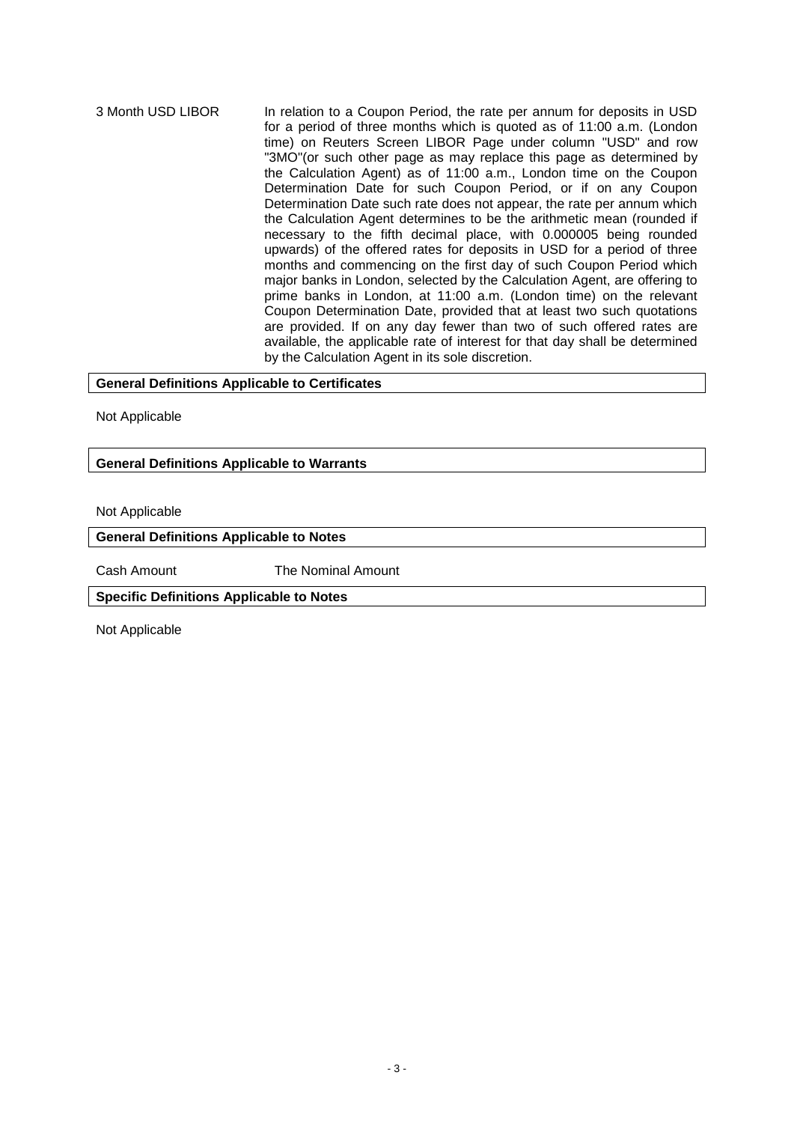3 Month USD LIBOR In relation to a Coupon Period, the rate per annum for deposits in USD for a period of three months which is quoted as of 11:00 a.m. (London time) on Reuters Screen LIBOR Page under column "USD" and row "3MO"(or such other page as may replace this page as determined by the Calculation Agent) as of 11:00 a.m., London time on the Coupon Determination Date for such Coupon Period, or if on any Coupon Determination Date such rate does not appear, the rate per annum which the Calculation Agent determines to be the arithmetic mean (rounded if necessary to the fifth decimal place, with 0.000005 being rounded upwards) of the offered rates for deposits in USD for a period of three months and commencing on the first day of such Coupon Period which major banks in London, selected by the Calculation Agent, are offering to prime banks in London, at 11:00 a.m. (London time) on the relevant Coupon Determination Date, provided that at least two such quotations are provided. If on any day fewer than two of such offered rates are available, the applicable rate of interest for that day shall be determined by the Calculation Agent in its sole discretion.

### **General Definitions Applicable to Certificates**

Not Applicable

## **General Definitions Applicable to Warrants**

Not Applicable

## **General Definitions Applicable to Notes**

Cash Amount The Nominal Amount

**Specific Definitions Applicable to Notes**

Not Applicable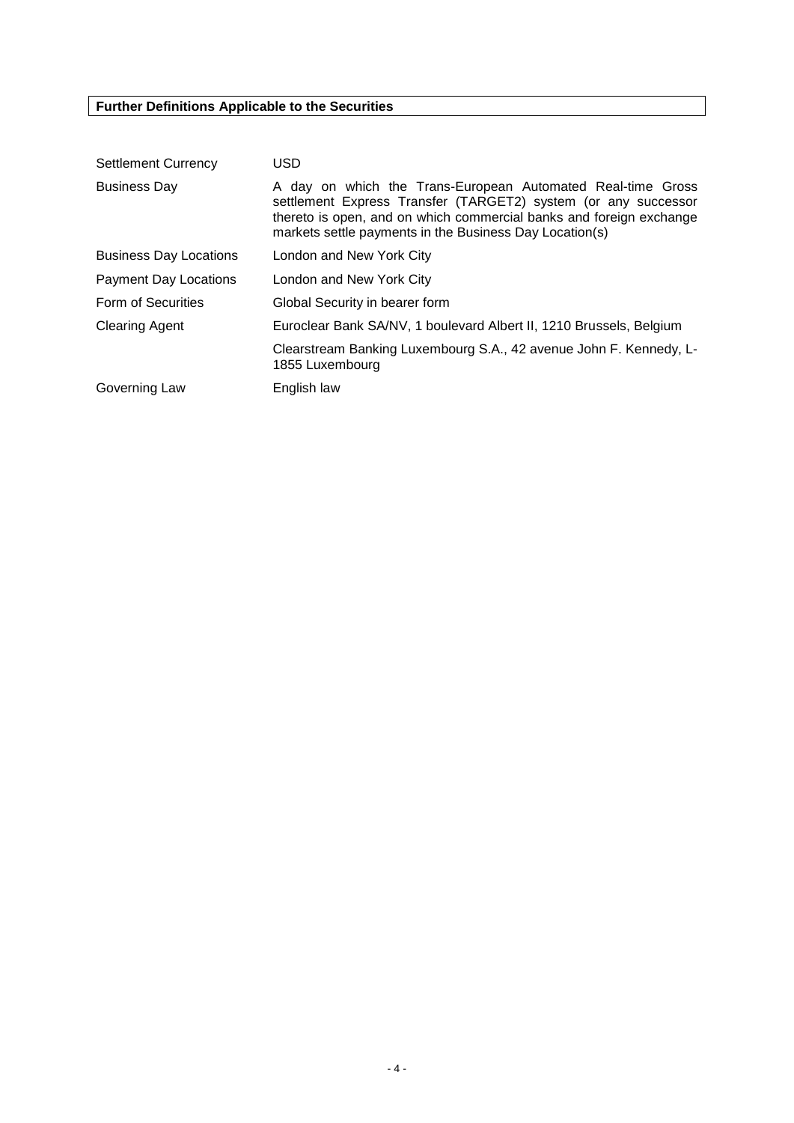# **Further Definitions Applicable to the Securities**

| <b>Settlement Currency</b>    | <b>USD</b>                                                                                                                                                                                                                                                      |  |  |  |  |
|-------------------------------|-----------------------------------------------------------------------------------------------------------------------------------------------------------------------------------------------------------------------------------------------------------------|--|--|--|--|
| <b>Business Day</b>           | A day on which the Trans-European Automated Real-time Gross<br>settlement Express Transfer (TARGET2) system (or any successor<br>thereto is open, and on which commercial banks and foreign exchange<br>markets settle payments in the Business Day Location(s) |  |  |  |  |
| <b>Business Day Locations</b> | London and New York City                                                                                                                                                                                                                                        |  |  |  |  |
| <b>Payment Day Locations</b>  | London and New York City                                                                                                                                                                                                                                        |  |  |  |  |
| Form of Securities            | Global Security in bearer form                                                                                                                                                                                                                                  |  |  |  |  |
| <b>Clearing Agent</b>         | Euroclear Bank SA/NV, 1 boulevard Albert II, 1210 Brussels, Belgium                                                                                                                                                                                             |  |  |  |  |
|                               | Clearstream Banking Luxembourg S.A., 42 avenue John F. Kennedy, L-<br>1855 Luxembourg                                                                                                                                                                           |  |  |  |  |
| Governing Law                 | English law                                                                                                                                                                                                                                                     |  |  |  |  |
|                               |                                                                                                                                                                                                                                                                 |  |  |  |  |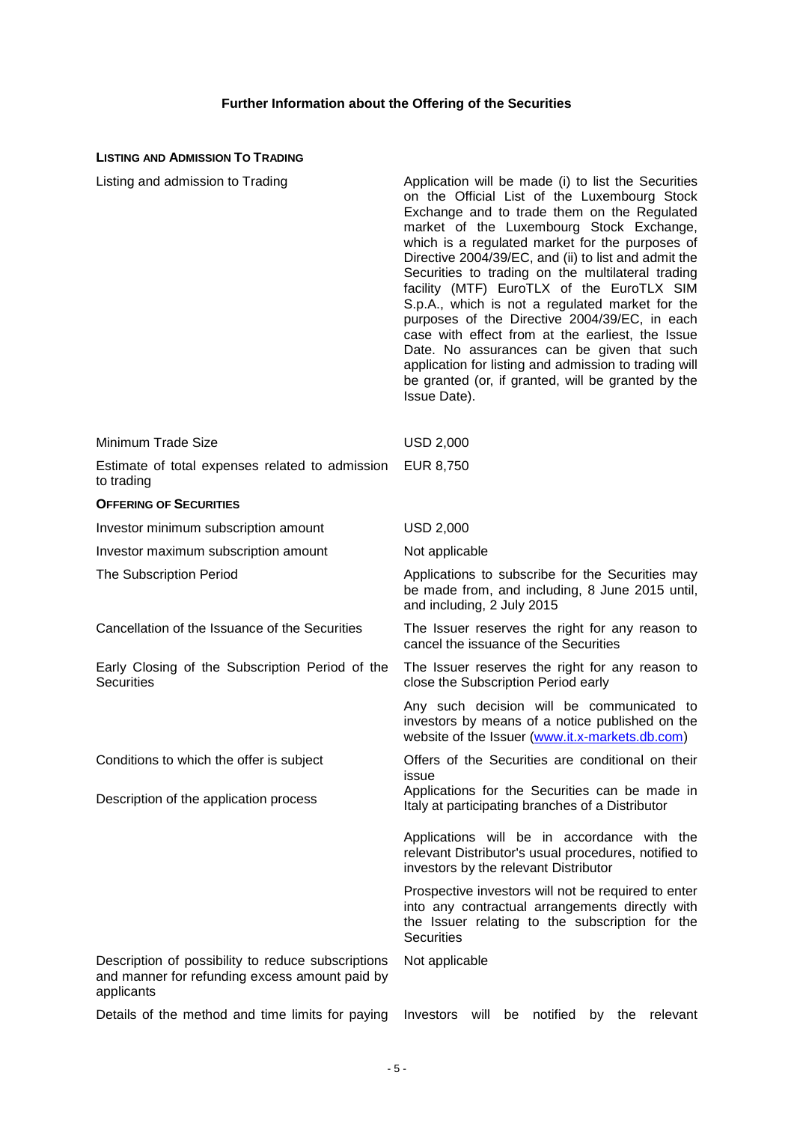# **Further Information about the Offering of the Securities**

# **LISTING AND ADMISSION TO TRADING**

| Listing and admission to Trading                                                                                   | Application will be made (i) to list the Securities<br>on the Official List of the Luxembourg Stock<br>Exchange and to trade them on the Regulated<br>market of the Luxembourg Stock Exchange,<br>which is a regulated market for the purposes of<br>Directive 2004/39/EC, and (ii) to list and admit the<br>Securities to trading on the multilateral trading<br>facility (MTF) EuroTLX of the EuroTLX SIM<br>S.p.A., which is not a regulated market for the<br>purposes of the Directive 2004/39/EC, in each<br>case with effect from at the earliest, the Issue<br>Date. No assurances can be given that such<br>application for listing and admission to trading will<br>be granted (or, if granted, will be granted by the<br>Issue Date). |
|--------------------------------------------------------------------------------------------------------------------|--------------------------------------------------------------------------------------------------------------------------------------------------------------------------------------------------------------------------------------------------------------------------------------------------------------------------------------------------------------------------------------------------------------------------------------------------------------------------------------------------------------------------------------------------------------------------------------------------------------------------------------------------------------------------------------------------------------------------------------------------|
| Minimum Trade Size                                                                                                 | <b>USD 2,000</b>                                                                                                                                                                                                                                                                                                                                                                                                                                                                                                                                                                                                                                                                                                                                 |
| Estimate of total expenses related to admission<br>to trading                                                      | EUR 8,750                                                                                                                                                                                                                                                                                                                                                                                                                                                                                                                                                                                                                                                                                                                                        |
| <b>OFFERING OF SECURITIES</b>                                                                                      |                                                                                                                                                                                                                                                                                                                                                                                                                                                                                                                                                                                                                                                                                                                                                  |
| Investor minimum subscription amount                                                                               | <b>USD 2,000</b>                                                                                                                                                                                                                                                                                                                                                                                                                                                                                                                                                                                                                                                                                                                                 |
| Investor maximum subscription amount                                                                               | Not applicable                                                                                                                                                                                                                                                                                                                                                                                                                                                                                                                                                                                                                                                                                                                                   |
| The Subscription Period                                                                                            | Applications to subscribe for the Securities may<br>be made from, and including, 8 June 2015 until,<br>and including, 2 July 2015                                                                                                                                                                                                                                                                                                                                                                                                                                                                                                                                                                                                                |
| Cancellation of the Issuance of the Securities                                                                     | The Issuer reserves the right for any reason to<br>cancel the issuance of the Securities                                                                                                                                                                                                                                                                                                                                                                                                                                                                                                                                                                                                                                                         |
| Early Closing of the Subscription Period of the<br><b>Securities</b>                                               | The Issuer reserves the right for any reason to<br>close the Subscription Period early                                                                                                                                                                                                                                                                                                                                                                                                                                                                                                                                                                                                                                                           |
|                                                                                                                    | Any such decision will be communicated to<br>investors by means of a notice published on the<br>website of the Issuer (www.it.x-markets.db.com)                                                                                                                                                                                                                                                                                                                                                                                                                                                                                                                                                                                                  |
| Conditions to which the offer is subject                                                                           | Offers of the Securities are conditional on their<br>issue                                                                                                                                                                                                                                                                                                                                                                                                                                                                                                                                                                                                                                                                                       |
| Description of the application process                                                                             | Applications for the Securities can be made in<br>Italy at participating branches of a Distributor                                                                                                                                                                                                                                                                                                                                                                                                                                                                                                                                                                                                                                               |
|                                                                                                                    | Applications will be in accordance with the<br>relevant Distributor's usual procedures, notified to<br>investors by the relevant Distributor                                                                                                                                                                                                                                                                                                                                                                                                                                                                                                                                                                                                     |
|                                                                                                                    | Prospective investors will not be required to enter<br>into any contractual arrangements directly with<br>the Issuer relating to the subscription for the<br><b>Securities</b>                                                                                                                                                                                                                                                                                                                                                                                                                                                                                                                                                                   |
| Description of possibility to reduce subscriptions<br>and manner for refunding excess amount paid by<br>applicants | Not applicable                                                                                                                                                                                                                                                                                                                                                                                                                                                                                                                                                                                                                                                                                                                                   |
| Details of the method and time limits for paying                                                                   | Investors<br>will be<br>notified<br>by the<br>relevant                                                                                                                                                                                                                                                                                                                                                                                                                                                                                                                                                                                                                                                                                           |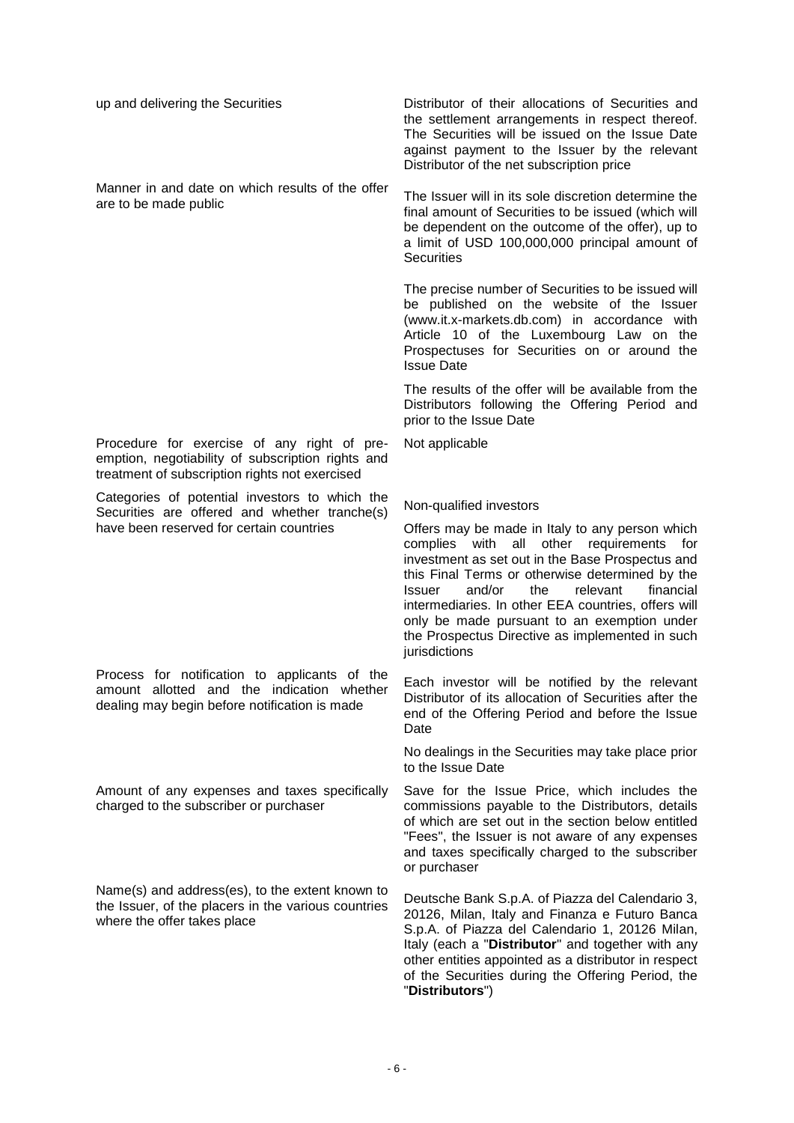| up and delivering the Securities                                                                                                                   | Distributor of their allocations of Securities and<br>the settlement arrangements in respect thereof.<br>The Securities will be issued on the Issue Date<br>against payment to the Issuer by the relevant<br>Distributor of the net subscription price                                                                                                                                                                                          |
|----------------------------------------------------------------------------------------------------------------------------------------------------|-------------------------------------------------------------------------------------------------------------------------------------------------------------------------------------------------------------------------------------------------------------------------------------------------------------------------------------------------------------------------------------------------------------------------------------------------|
| Manner in and date on which results of the offer<br>are to be made public                                                                          | The Issuer will in its sole discretion determine the<br>final amount of Securities to be issued (which will<br>be dependent on the outcome of the offer), up to<br>a limit of USD 100,000,000 principal amount of<br><b>Securities</b>                                                                                                                                                                                                          |
|                                                                                                                                                    | The precise number of Securities to be issued will<br>be published on the website of the Issuer<br>(www.it.x-markets.db.com) in accordance with<br>Article 10 of the Luxembourg Law on the<br>Prospectuses for Securities on or around the<br><b>Issue Date</b>                                                                                                                                                                                 |
|                                                                                                                                                    | The results of the offer will be available from the<br>Distributors following the Offering Period and<br>prior to the Issue Date                                                                                                                                                                                                                                                                                                                |
| Procedure for exercise of any right of pre-<br>emption, negotiability of subscription rights and<br>treatment of subscription rights not exercised | Not applicable                                                                                                                                                                                                                                                                                                                                                                                                                                  |
| Categories of potential investors to which the<br>Securities are offered and whether tranche(s)                                                    | Non-qualified investors                                                                                                                                                                                                                                                                                                                                                                                                                         |
| have been reserved for certain countries                                                                                                           | Offers may be made in Italy to any person which<br>complies<br>with<br>all<br>other<br>requirements<br>for<br>investment as set out in the Base Prospectus and<br>this Final Terms or otherwise determined by the<br>and/or<br>financial<br>the<br>relevant<br>Issuer<br>intermediaries. In other EEA countries, offers will<br>only be made pursuant to an exemption under<br>the Prospectus Directive as implemented in such<br>jurisdictions |
| Process for notification to applicants of the<br>amount allotted and the indication whether<br>dealing may begin before notification is made       | Each investor will be notified by the relevant<br>Distributor of its allocation of Securities after the<br>end of the Offering Period and before the Issue<br>Date                                                                                                                                                                                                                                                                              |
|                                                                                                                                                    | No dealings in the Securities may take place prior<br>to the Issue Date                                                                                                                                                                                                                                                                                                                                                                         |
| Amount of any expenses and taxes specifically<br>charged to the subscriber or purchaser                                                            | Save for the Issue Price, which includes the<br>commissions payable to the Distributors, details<br>of which are set out in the section below entitled<br>"Fees", the Issuer is not aware of any expenses<br>and taxes specifically charged to the subscriber<br>or purchaser                                                                                                                                                                   |
| Name(s) and address(es), to the extent known to<br>the Issuer, of the placers in the various countries<br>where the offer takes place              | Deutsche Bank S.p.A. of Piazza del Calendario 3,<br>20126, Milan, Italy and Finanza e Futuro Banca<br>S.p.A. of Piazza del Calendario 1, 20126 Milan,<br>Italy (each a "Distributor" and together with any<br>other entities appointed as a distributor in respect<br>of the Securities during the Offering Period, the<br>"Distributors")                                                                                                      |
|                                                                                                                                                    |                                                                                                                                                                                                                                                                                                                                                                                                                                                 |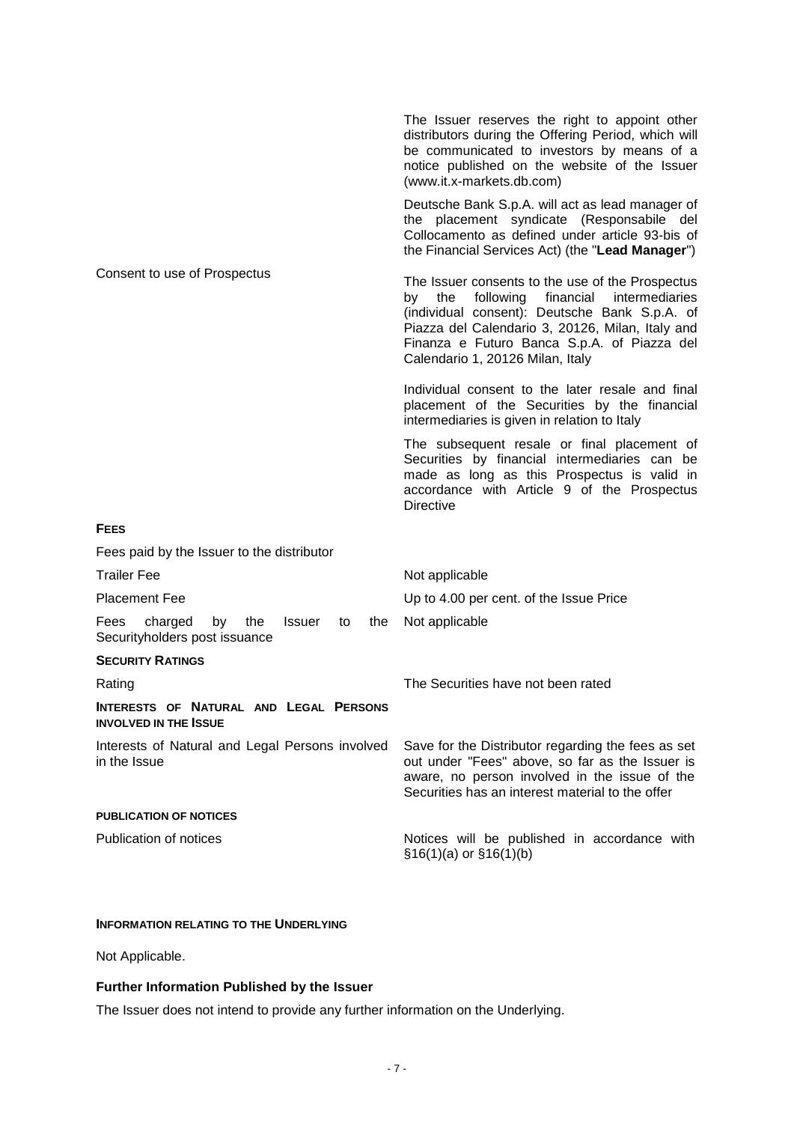|                                                                                             | The Issuer reserves the right to appoint other<br>distributors during the Offering Period, which will<br>be communicated to investors by means of a<br>notice published on the website of the Issuer<br>(www.it.x-markets.db.com)                                                                 |
|---------------------------------------------------------------------------------------------|---------------------------------------------------------------------------------------------------------------------------------------------------------------------------------------------------------------------------------------------------------------------------------------------------|
|                                                                                             | Deutsche Bank S.p.A. will act as lead manager of<br>the placement syndicate (Responsabile del<br>Collocamento as defined under article 93-bis of<br>the Financial Services Act) (the "Lead Manager")                                                                                              |
| Consent to use of Prospectus                                                                | The Issuer consents to the use of the Prospectus<br>following<br>financial<br>intermediaries<br>the<br>by<br>(individual consent): Deutsche Bank S.p.A. of<br>Piazza del Calendario 3, 20126, Milan, Italy and<br>Finanza e Futuro Banca S.p.A. of Piazza del<br>Calendario 1, 20126 Milan, Italy |
|                                                                                             | Individual consent to the later resale and final<br>placement of the Securities by the financial<br>intermediaries is given in relation to Italy                                                                                                                                                  |
|                                                                                             | The subsequent resale or final placement of<br>Securities by financial intermediaries can be<br>made as long as this Prospectus is valid in<br>accordance with Article 9 of the Prospectus<br><b>Directive</b>                                                                                    |
| <b>FEES</b>                                                                                 |                                                                                                                                                                                                                                                                                                   |
| Fees paid by the Issuer to the distributor                                                  |                                                                                                                                                                                                                                                                                                   |
| <b>Trailer Fee</b>                                                                          | Not applicable                                                                                                                                                                                                                                                                                    |
| <b>Placement Fee</b>                                                                        | Up to 4.00 per cent. of the Issue Price                                                                                                                                                                                                                                                           |
| charged<br>Fees<br>by<br>the<br><b>Issuer</b><br>to<br>the<br>Securityholders post issuance | Not applicable                                                                                                                                                                                                                                                                                    |
| <b>SECURITY RATINGS</b>                                                                     |                                                                                                                                                                                                                                                                                                   |
| Rating                                                                                      | The Securities have not been rated                                                                                                                                                                                                                                                                |
| INTERESTS OF NATURAL AND LEGAL PERSONS<br><b>INVOLVED IN THE ISSUE</b>                      |                                                                                                                                                                                                                                                                                                   |
| Interests of Natural and Legal Persons involved<br>in the Issue                             | Save for the Distributor regarding the fees as set<br>out under "Fees" above, so far as the Issuer is<br>aware, no person involved in the issue of the<br>Securities has an interest material to the offer                                                                                        |
| <b>PUBLICATION OF NOTICES</b>                                                               |                                                                                                                                                                                                                                                                                                   |
| Publication of notices                                                                      | Notices will be published in accordance with<br>$$16(1)(a)$ or $$16(1)(b)$                                                                                                                                                                                                                        |
|                                                                                             |                                                                                                                                                                                                                                                                                                   |

## **INFORMATION RELATING TO THE UNDERLYING**

Not Applicable.

# **Further Information Published by the Issuer**

The Issuer does not intend to provide any further information on the Underlying.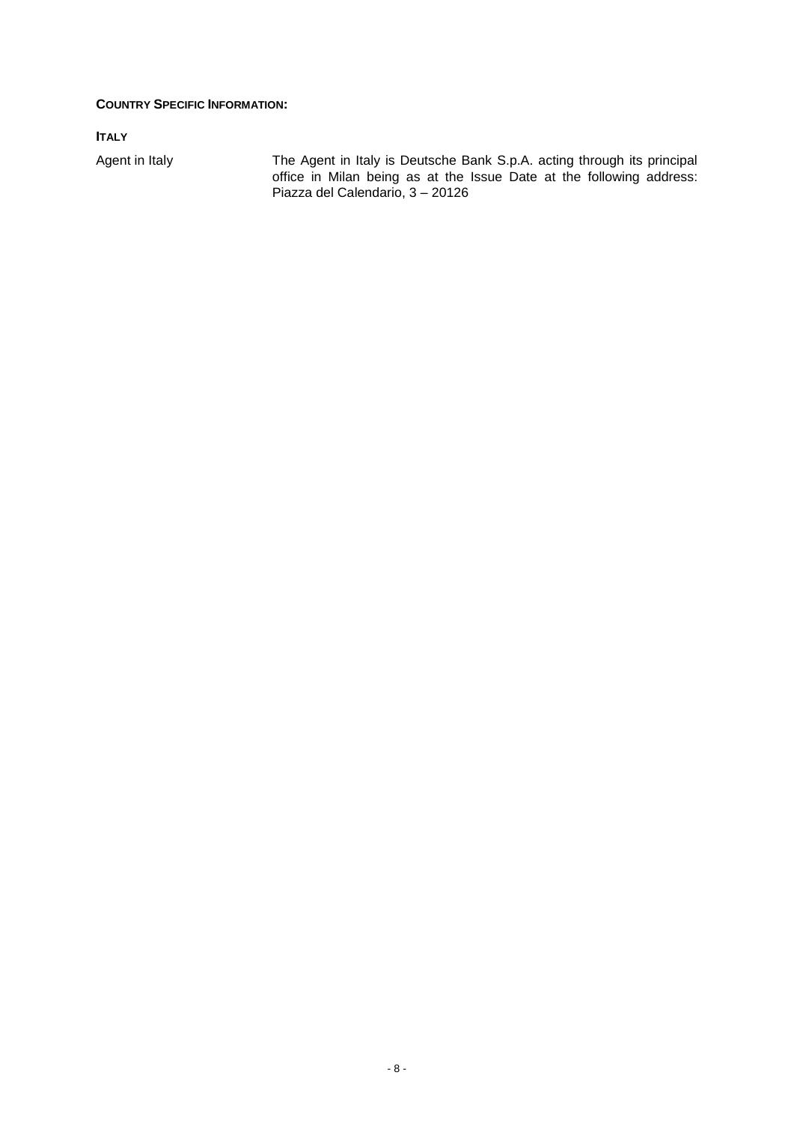## **COUNTRY SPECIFIC INFORMATION:**

**ITALY** 

Agent in Italy The Agent in Italy is Deutsche Bank S.p.A. acting through its principal office in Milan being as at the Issue Date at the following address: Piazza del Calendario, 3 – 20126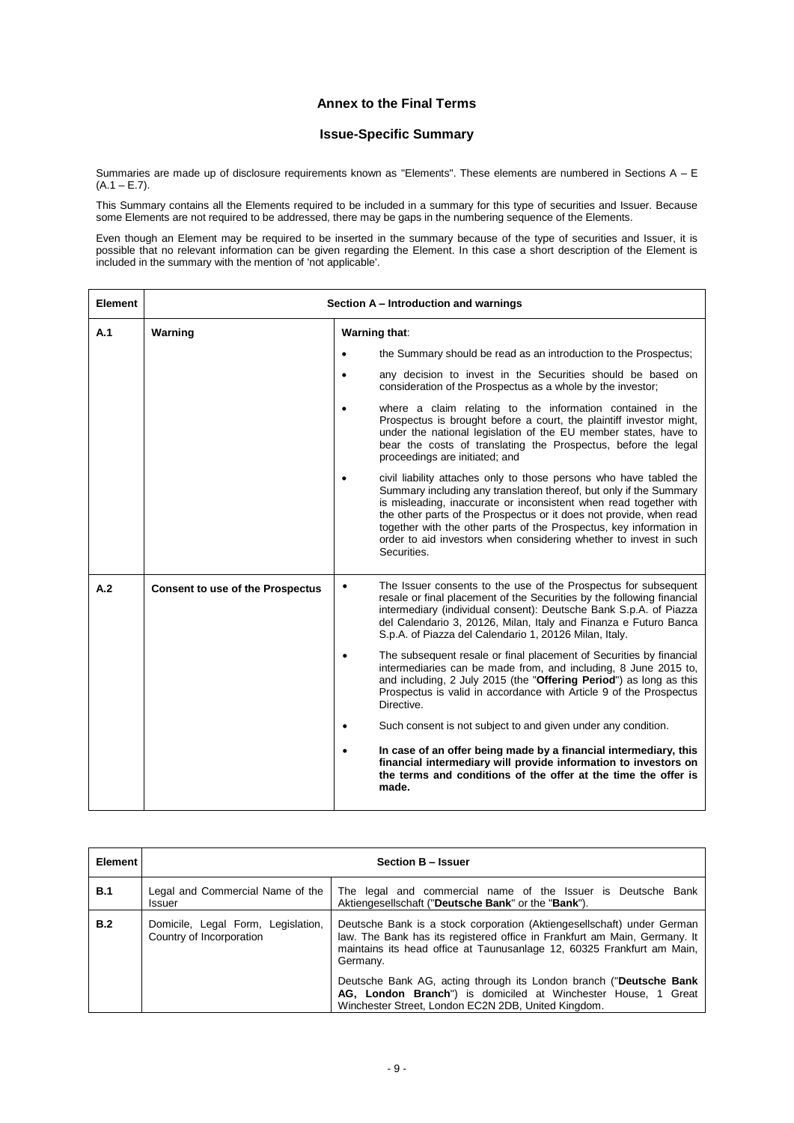## **Annex to the Final Terms**

### **Issue-Specific Summary**

Summaries are made up of disclosure requirements known as "Elements". These elements are numbered in Sections A - E  $(A.1 - E.7)$ .

This Summary contains all the Elements required to be included in a summary for this type of securities and Issuer. Because some Elements are not required to be addressed, there may be gaps in the numbering sequence of the Elements.

Even though an Element may be required to be inserted in the summary because of the type of securities and Issuer, it is possible that no relevant information can be given regarding the Element. In this case a short description of the Element is included in the summary with the mention of 'not applicable'.

| <b>Element</b> | Section A - Introduction and warnings   |           |                                                                                                                                                                                                                                                                                                                                                                                                                                                 |  |  |
|----------------|-----------------------------------------|-----------|-------------------------------------------------------------------------------------------------------------------------------------------------------------------------------------------------------------------------------------------------------------------------------------------------------------------------------------------------------------------------------------------------------------------------------------------------|--|--|
| A.1            | Warning                                 |           | Warning that:                                                                                                                                                                                                                                                                                                                                                                                                                                   |  |  |
|                |                                         | $\bullet$ | the Summary should be read as an introduction to the Prospectus;                                                                                                                                                                                                                                                                                                                                                                                |  |  |
|                |                                         | $\bullet$ | any decision to invest in the Securities should be based on<br>consideration of the Prospectus as a whole by the investor;                                                                                                                                                                                                                                                                                                                      |  |  |
|                |                                         |           | where a claim relating to the information contained in the<br>Prospectus is brought before a court, the plaintiff investor might,<br>under the national legislation of the EU member states, have to<br>bear the costs of translating the Prospectus, before the legal<br>proceedings are initiated; and                                                                                                                                        |  |  |
|                |                                         |           | civil liability attaches only to those persons who have tabled the<br>Summary including any translation thereof, but only if the Summary<br>is misleading, inaccurate or inconsistent when read together with<br>the other parts of the Prospectus or it does not provide, when read<br>together with the other parts of the Prospectus, key information in<br>order to aid investors when considering whether to invest in such<br>Securities. |  |  |
| A.2            | <b>Consent to use of the Prospectus</b> | ٠         | The Issuer consents to the use of the Prospectus for subsequent<br>resale or final placement of the Securities by the following financial<br>intermediary (individual consent): Deutsche Bank S.p.A. of Piazza<br>del Calendario 3, 20126, Milan, Italy and Finanza e Futuro Banca<br>S.p.A. of Piazza del Calendario 1, 20126 Milan, Italy.                                                                                                    |  |  |
|                |                                         | $\bullet$ | The subsequent resale or final placement of Securities by financial<br>intermediaries can be made from, and including, 8 June 2015 to,<br>and including, 2 July 2015 (the "Offering Period") as long as this<br>Prospectus is valid in accordance with Article 9 of the Prospectus<br>Directive.                                                                                                                                                |  |  |
|                |                                         | ٠         | Such consent is not subject to and given under any condition.                                                                                                                                                                                                                                                                                                                                                                                   |  |  |
|                |                                         |           | In case of an offer being made by a financial intermediary, this<br>financial intermediary will provide information to investors on<br>the terms and conditions of the offer at the time the offer is<br>made.                                                                                                                                                                                                                                  |  |  |

| <b>Element</b> | Section B - Issuer                                             |                                                                                                                                                                                                                                           |  |  |
|----------------|----------------------------------------------------------------|-------------------------------------------------------------------------------------------------------------------------------------------------------------------------------------------------------------------------------------------|--|--|
| <b>B.1</b>     | Legal and Commercial Name of the<br>Issuer                     | The legal and commercial name of the Issuer is Deutsche Bank<br>Aktiengesellschaft ("Deutsche Bank" or the "Bank").                                                                                                                       |  |  |
| B.2            | Domicile, Legal Form, Legislation,<br>Country of Incorporation | Deutsche Bank is a stock corporation (Aktiengesellschaft) under German<br>law. The Bank has its registered office in Frankfurt am Main, Germany. It<br>maintains its head office at Taunusanlage 12, 60325 Frankfurt am Main,<br>Germany. |  |  |
|                |                                                                | Deutsche Bank AG, acting through its London branch ("Deutsche Bank<br>AG, London Branch") is domiciled at Winchester House, 1 Great<br>Winchester Street, London EC2N 2DB, United Kingdom.                                                |  |  |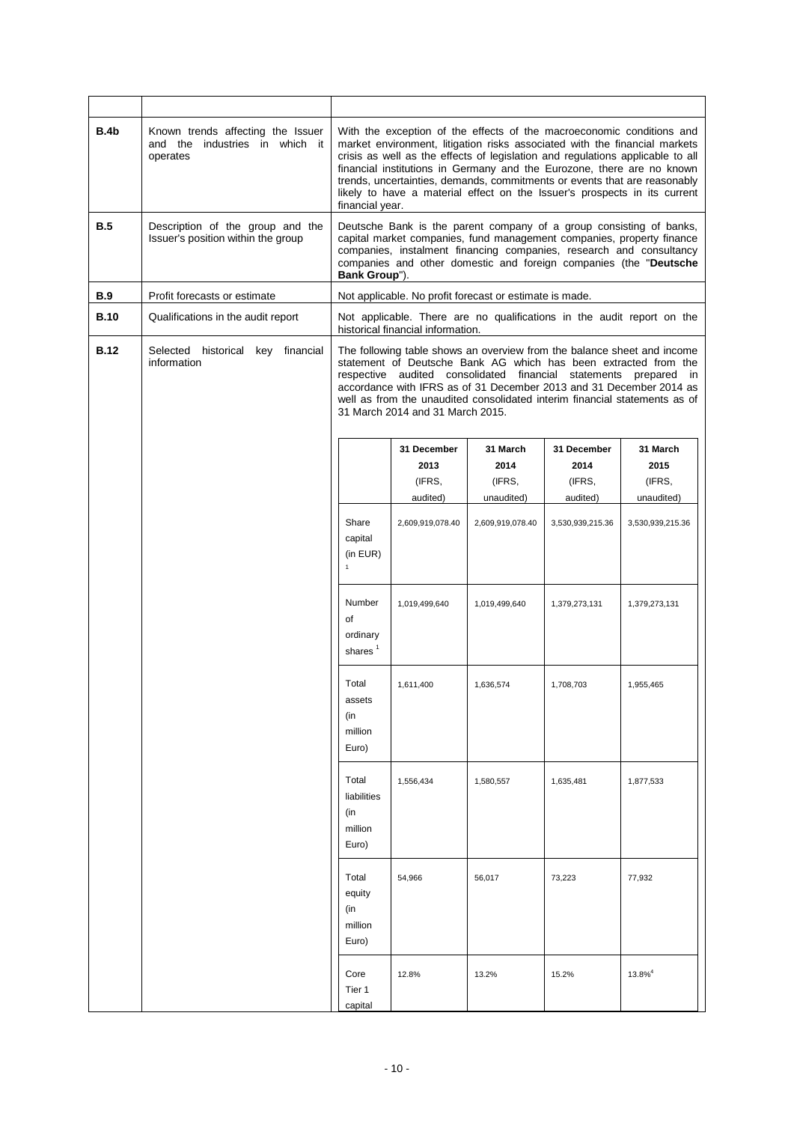| B.4b        | Known trends affecting the Issuer<br>and the industries in which it<br>operates | With the exception of the effects of the macroeconomic conditions and<br>market environment, litigation risks associated with the financial markets<br>crisis as well as the effects of legislation and regulations applicable to all<br>financial institutions in Germany and the Eurozone, there are no known<br>trends, uncertainties, demands, commitments or events that are reasonably<br>likely to have a material effect on the Issuer's prospects in its current<br>financial year. |                                                                                                                                                                                                                                                                                          |                                          |                                           |                                                                        |
|-------------|---------------------------------------------------------------------------------|----------------------------------------------------------------------------------------------------------------------------------------------------------------------------------------------------------------------------------------------------------------------------------------------------------------------------------------------------------------------------------------------------------------------------------------------------------------------------------------------|------------------------------------------------------------------------------------------------------------------------------------------------------------------------------------------------------------------------------------------------------------------------------------------|------------------------------------------|-------------------------------------------|------------------------------------------------------------------------|
| <b>B.5</b>  | Description of the group and the<br>Issuer's position within the group          | Bank Group").                                                                                                                                                                                                                                                                                                                                                                                                                                                                                | Deutsche Bank is the parent company of a group consisting of banks,<br>capital market companies, fund management companies, property finance<br>companies, instalment financing companies, research and consultancy<br>companies and other domestic and foreign companies (the "Deutsche |                                          |                                           |                                                                        |
| B.9         | Profit forecasts or estimate                                                    |                                                                                                                                                                                                                                                                                                                                                                                                                                                                                              | Not applicable. No profit forecast or estimate is made.                                                                                                                                                                                                                                  |                                          |                                           |                                                                        |
| <b>B.10</b> | Qualifications in the audit report                                              |                                                                                                                                                                                                                                                                                                                                                                                                                                                                                              | historical financial information.                                                                                                                                                                                                                                                        |                                          |                                           | Not applicable. There are no qualifications in the audit report on the |
| <b>B.12</b> | Selected historical<br>key financial<br>information                             | The following table shows an overview from the balance sheet and income<br>statement of Deutsche Bank AG which has been extracted from the<br>respective audited consolidated financial<br>statements prepared<br>in.<br>accordance with IFRS as of 31 December 2013 and 31 December 2014 as<br>well as from the unaudited consolidated interim financial statements as of<br>31 March 2014 and 31 March 2015.                                                                               |                                                                                                                                                                                                                                                                                          |                                          |                                           |                                                                        |
|             |                                                                                 |                                                                                                                                                                                                                                                                                                                                                                                                                                                                                              | 31 December<br>2013<br>(IFRS,<br>audited)                                                                                                                                                                                                                                                | 31 March<br>2014<br>(IFRS,<br>unaudited) | 31 December<br>2014<br>(IFRS,<br>audited) | 31 March<br>2015<br>(IFRS,<br>unaudited)                               |
|             |                                                                                 | Share<br>capital<br>(in EUR)<br>$\mathbf{1}$                                                                                                                                                                                                                                                                                                                                                                                                                                                 | 2,609,919,078.40                                                                                                                                                                                                                                                                         | 2,609,919,078.40                         | 3,530,939,215.36                          | 3,530,939,215.36                                                       |
|             |                                                                                 | Number<br>of<br>ordinary<br>shares <sup>1</sup>                                                                                                                                                                                                                                                                                                                                                                                                                                              | 1,019,499,640                                                                                                                                                                                                                                                                            | 1,019,499,640                            | 1,379,273,131                             | 1,379,273,131                                                          |
|             |                                                                                 | Total<br>assets<br>(in<br>million<br>Euro)                                                                                                                                                                                                                                                                                                                                                                                                                                                   | 1,611,400                                                                                                                                                                                                                                                                                | 1,636,574                                | 1,708,703                                 | 1,955,465                                                              |
|             |                                                                                 | Total<br>liabilities<br>(in<br>million<br>Euro)                                                                                                                                                                                                                                                                                                                                                                                                                                              | 1,556,434                                                                                                                                                                                                                                                                                | 1,580,557                                | 1,635,481                                 | 1,877,533                                                              |
|             |                                                                                 | Total<br>equity<br>(in<br>million<br>Euro)                                                                                                                                                                                                                                                                                                                                                                                                                                                   | 54,966                                                                                                                                                                                                                                                                                   | 56,017                                   | 73,223                                    | 77,932                                                                 |
|             |                                                                                 | Core<br>Tier 1<br>capital                                                                                                                                                                                                                                                                                                                                                                                                                                                                    | 12.8%                                                                                                                                                                                                                                                                                    | 13.2%                                    | 15.2%                                     | $13.8\%$ <sup>4</sup>                                                  |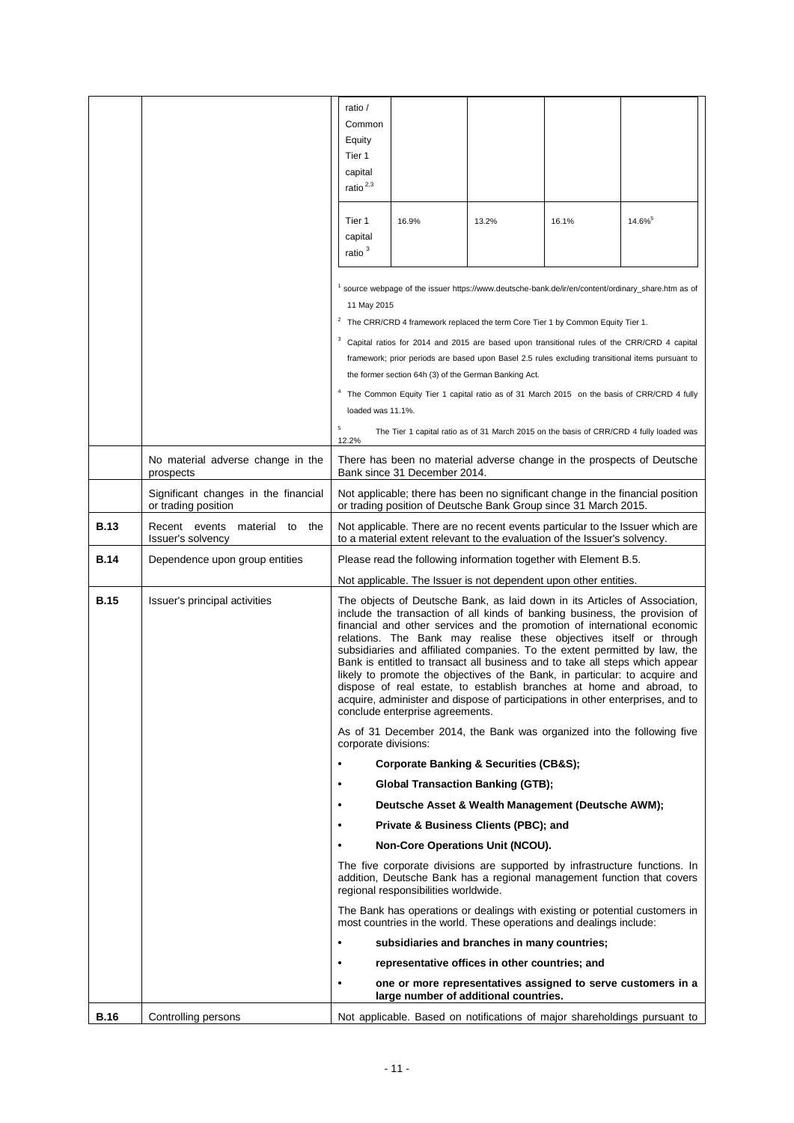|             |                                                             | ratio /<br>Common<br>Equity<br>Tier 1<br>capital<br>ratio $^{2,3}$                                                                                                                                                                                                                                                                                                                                                                                                                                                                                                                                                                                                                                                                                   |                                                                                                |       |       |                                                                                                                                                                                                 |
|-------------|-------------------------------------------------------------|------------------------------------------------------------------------------------------------------------------------------------------------------------------------------------------------------------------------------------------------------------------------------------------------------------------------------------------------------------------------------------------------------------------------------------------------------------------------------------------------------------------------------------------------------------------------------------------------------------------------------------------------------------------------------------------------------------------------------------------------------|------------------------------------------------------------------------------------------------|-------|-------|-------------------------------------------------------------------------------------------------------------------------------------------------------------------------------------------------|
|             |                                                             | Tier 1<br>capital<br>ratio <sup>3</sup>                                                                                                                                                                                                                                                                                                                                                                                                                                                                                                                                                                                                                                                                                                              | 16.9%                                                                                          | 13.2% | 16.1% | $14.6\%$ <sup>5</sup>                                                                                                                                                                           |
|             |                                                             | 11 May 2015                                                                                                                                                                                                                                                                                                                                                                                                                                                                                                                                                                                                                                                                                                                                          | $2$ The CRR/CRD 4 framework replaced the term Core Tier 1 by Common Equity Tier 1.             |       |       | source webpage of the issuer https://www.deutsche-bank.de/ir/en/content/ordinary_share.htm as of                                                                                                |
|             |                                                             |                                                                                                                                                                                                                                                                                                                                                                                                                                                                                                                                                                                                                                                                                                                                                      | the former section 64h (3) of the German Banking Act.                                          |       |       | Capital ratios for 2014 and 2015 are based upon transitional rules of the CRR/CRD 4 capital<br>framework; prior periods are based upon Basel 2.5 rules excluding transitional items pursuant to |
|             |                                                             | loaded was 11.1%.                                                                                                                                                                                                                                                                                                                                                                                                                                                                                                                                                                                                                                                                                                                                    |                                                                                                |       |       | The Common Equity Tier 1 capital ratio as of 31 March 2015 on the basis of CRR/CRD 4 fully                                                                                                      |
|             |                                                             | $\,$ 5 $\,$<br>12.2%                                                                                                                                                                                                                                                                                                                                                                                                                                                                                                                                                                                                                                                                                                                                 |                                                                                                |       |       | The Tier 1 capital ratio as of 31 March 2015 on the basis of CRR/CRD 4 fully loaded was                                                                                                         |
|             | No material adverse change in the<br>prospects              |                                                                                                                                                                                                                                                                                                                                                                                                                                                                                                                                                                                                                                                                                                                                                      | Bank since 31 December 2014.                                                                   |       |       | There has been no material adverse change in the prospects of Deutsche                                                                                                                          |
|             | Significant changes in the financial<br>or trading position | Not applicable; there has been no significant change in the financial position<br>or trading position of Deutsche Bank Group since 31 March 2015.                                                                                                                                                                                                                                                                                                                                                                                                                                                                                                                                                                                                    |                                                                                                |       |       |                                                                                                                                                                                                 |
| <b>B.13</b> | Recent events material to<br>the<br>Issuer's solvency       | Not applicable. There are no recent events particular to the Issuer which are<br>to a material extent relevant to the evaluation of the Issuer's solvency.                                                                                                                                                                                                                                                                                                                                                                                                                                                                                                                                                                                           |                                                                                                |       |       |                                                                                                                                                                                                 |
| <b>B.14</b> | Dependence upon group entities                              | Please read the following information together with Element B.5.                                                                                                                                                                                                                                                                                                                                                                                                                                                                                                                                                                                                                                                                                     |                                                                                                |       |       |                                                                                                                                                                                                 |
|             |                                                             | Not applicable. The Issuer is not dependent upon other entities.                                                                                                                                                                                                                                                                                                                                                                                                                                                                                                                                                                                                                                                                                     |                                                                                                |       |       |                                                                                                                                                                                                 |
| <b>B.15</b> | Issuer's principal activities                               | The objects of Deutsche Bank, as laid down in its Articles of Association,<br>include the transaction of all kinds of banking business, the provision of<br>financial and other services and the promotion of international economic<br>relations. The Bank may realise these objectives itself or through<br>subsidiaries and affiliated companies. To the extent permitted by law, the<br>Bank is entitled to transact all business and to take all steps which appear<br>likely to promote the objectives of the Bank, in particular: to acquire and<br>dispose of real estate, to establish branches at home and abroad, to<br>acquire, administer and dispose of participations in other enterprises, and to<br>conclude enterprise agreements. |                                                                                                |       |       |                                                                                                                                                                                                 |
|             |                                                             | corporate divisions:                                                                                                                                                                                                                                                                                                                                                                                                                                                                                                                                                                                                                                                                                                                                 |                                                                                                |       |       | As of 31 December 2014, the Bank was organized into the following five                                                                                                                          |
|             |                                                             | $\bullet$                                                                                                                                                                                                                                                                                                                                                                                                                                                                                                                                                                                                                                                                                                                                            | <b>Corporate Banking &amp; Securities (CB&amp;S);</b>                                          |       |       |                                                                                                                                                                                                 |
|             |                                                             | ٠<br>$\bullet$                                                                                                                                                                                                                                                                                                                                                                                                                                                                                                                                                                                                                                                                                                                                       | <b>Global Transaction Banking (GTB);</b><br>Deutsche Asset & Wealth Management (Deutsche AWM); |       |       |                                                                                                                                                                                                 |
|             |                                                             | $\bullet$                                                                                                                                                                                                                                                                                                                                                                                                                                                                                                                                                                                                                                                                                                                                            | Private & Business Clients (PBC); and                                                          |       |       |                                                                                                                                                                                                 |
|             |                                                             | $\bullet$                                                                                                                                                                                                                                                                                                                                                                                                                                                                                                                                                                                                                                                                                                                                            | Non-Core Operations Unit (NCOU).                                                               |       |       |                                                                                                                                                                                                 |
|             |                                                             |                                                                                                                                                                                                                                                                                                                                                                                                                                                                                                                                                                                                                                                                                                                                                      | regional responsibilities worldwide.                                                           |       |       | The five corporate divisions are supported by infrastructure functions. In<br>addition, Deutsche Bank has a regional management function that covers                                            |
|             |                                                             |                                                                                                                                                                                                                                                                                                                                                                                                                                                                                                                                                                                                                                                                                                                                                      | most countries in the world. These operations and dealings include:                            |       |       | The Bank has operations or dealings with existing or potential customers in                                                                                                                     |
|             |                                                             | ٠                                                                                                                                                                                                                                                                                                                                                                                                                                                                                                                                                                                                                                                                                                                                                    | subsidiaries and branches in many countries;                                                   |       |       |                                                                                                                                                                                                 |
|             |                                                             | ٠                                                                                                                                                                                                                                                                                                                                                                                                                                                                                                                                                                                                                                                                                                                                                    | representative offices in other countries; and                                                 |       |       |                                                                                                                                                                                                 |
|             |                                                             | $\bullet$                                                                                                                                                                                                                                                                                                                                                                                                                                                                                                                                                                                                                                                                                                                                            | large number of additional countries.                                                          |       |       | one or more representatives assigned to serve customers in a                                                                                                                                    |
| <b>B.16</b> | Controlling persons                                         |                                                                                                                                                                                                                                                                                                                                                                                                                                                                                                                                                                                                                                                                                                                                                      |                                                                                                |       |       | Not applicable. Based on notifications of major shareholdings pursuant to                                                                                                                       |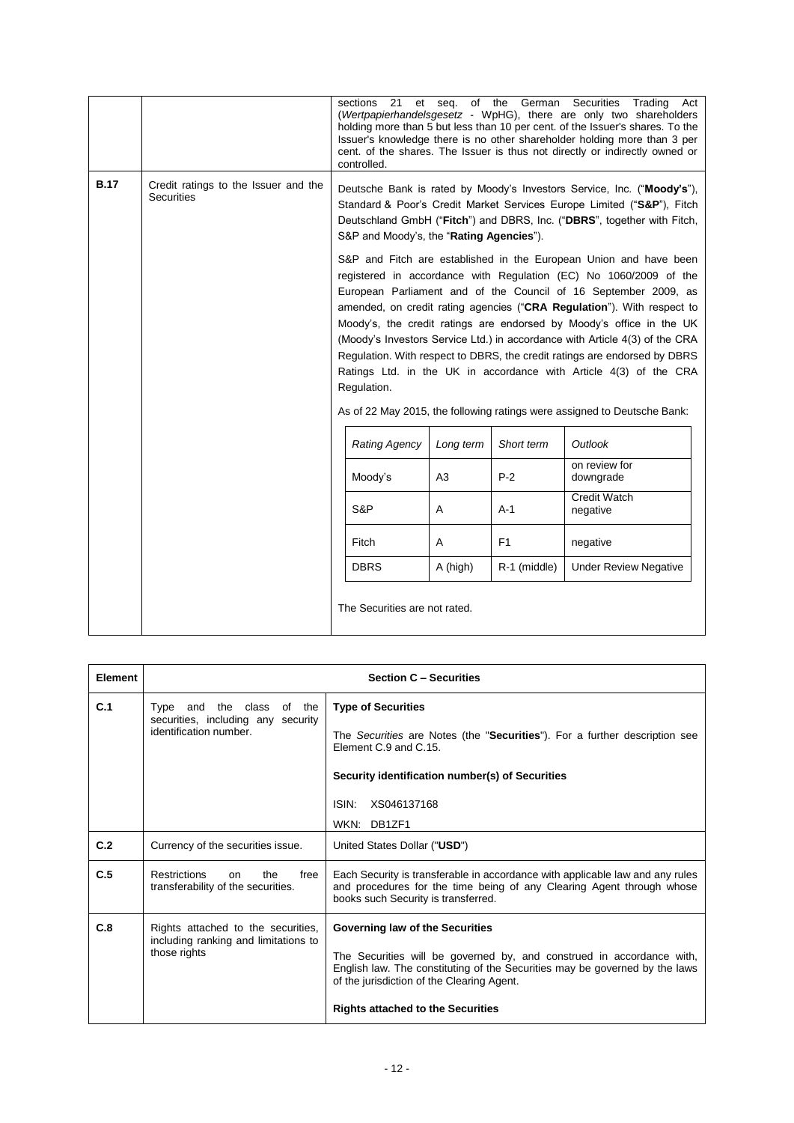|             |                                                           |                                                                                                                                                                                                                                                                                                                                                                                                                                                                                                                                                                                                                                                                                         | sections<br>21<br>et<br>controlled.                                                                                                                                                                                                                                     |                | seg. of the German Securities | Trading Act<br>(Wertpapierhandelsgesetz - WpHG), there are only two shareholders<br>holding more than 5 but less than 10 per cent. of the Issuer's shares. To the<br>Issuer's knowledge there is no other shareholder holding more than 3 per<br>cent. of the shares. The Issuer is thus not directly or indirectly owned or |
|-------------|-----------------------------------------------------------|-----------------------------------------------------------------------------------------------------------------------------------------------------------------------------------------------------------------------------------------------------------------------------------------------------------------------------------------------------------------------------------------------------------------------------------------------------------------------------------------------------------------------------------------------------------------------------------------------------------------------------------------------------------------------------------------|-------------------------------------------------------------------------------------------------------------------------------------------------------------------------------------------------------------------------------------------------------------------------|----------------|-------------------------------|------------------------------------------------------------------------------------------------------------------------------------------------------------------------------------------------------------------------------------------------------------------------------------------------------------------------------|
| <b>B.17</b> | Credit ratings to the Issuer and the<br><b>Securities</b> |                                                                                                                                                                                                                                                                                                                                                                                                                                                                                                                                                                                                                                                                                         | Deutsche Bank is rated by Moody's Investors Service, Inc. ("Moody's"),<br>Standard & Poor's Credit Market Services Europe Limited ("S&P"), Fitch<br>Deutschland GmbH ("Fitch") and DBRS, Inc. ("DBRS", together with Fitch,<br>S&P and Moody's, the "Rating Agencies"). |                |                               |                                                                                                                                                                                                                                                                                                                              |
|             |                                                           | S&P and Fitch are established in the European Union and have been<br>registered in accordance with Regulation (EC) No 1060/2009 of the<br>European Parliament and of the Council of 16 September 2009, as<br>amended, on credit rating agencies ("CRA Regulation"). With respect to<br>Moody's, the credit ratings are endorsed by Moody's office in the UK<br>(Moody's Investors Service Ltd.) in accordance with Article 4(3) of the CRA<br>Regulation. With respect to DBRS, the credit ratings are endorsed by DBRS<br>Ratings Ltd. in the UK in accordance with Article 4(3) of the CRA<br>Regulation.<br>As of 22 May 2015, the following ratings were assigned to Deutsche Bank: |                                                                                                                                                                                                                                                                         |                |                               |                                                                                                                                                                                                                                                                                                                              |
|             |                                                           |                                                                                                                                                                                                                                                                                                                                                                                                                                                                                                                                                                                                                                                                                         | <b>Rating Agency</b>                                                                                                                                                                                                                                                    | Long term      | Short term                    | Outlook                                                                                                                                                                                                                                                                                                                      |
|             |                                                           |                                                                                                                                                                                                                                                                                                                                                                                                                                                                                                                                                                                                                                                                                         | Moody's                                                                                                                                                                                                                                                                 | A <sub>3</sub> | $P-2$                         | on review for<br>downgrade                                                                                                                                                                                                                                                                                                   |
|             |                                                           |                                                                                                                                                                                                                                                                                                                                                                                                                                                                                                                                                                                                                                                                                         | S&P                                                                                                                                                                                                                                                                     | A              | $A-1$                         | <b>Credit Watch</b><br>negative                                                                                                                                                                                                                                                                                              |
|             |                                                           |                                                                                                                                                                                                                                                                                                                                                                                                                                                                                                                                                                                                                                                                                         | Fitch                                                                                                                                                                                                                                                                   | Α              | F1                            | negative                                                                                                                                                                                                                                                                                                                     |
|             |                                                           |                                                                                                                                                                                                                                                                                                                                                                                                                                                                                                                                                                                                                                                                                         | <b>DBRS</b>                                                                                                                                                                                                                                                             | A (high)       | R-1 (middle)                  | <b>Under Review Negative</b>                                                                                                                                                                                                                                                                                                 |
|             |                                                           |                                                                                                                                                                                                                                                                                                                                                                                                                                                                                                                                                                                                                                                                                         | The Securities are not rated.                                                                                                                                                                                                                                           |                |                               |                                                                                                                                                                                                                                                                                                                              |

| Element |                                                                                              | <b>Section C - Securities</b>                                                                                                                                                                                                                                                     |
|---------|----------------------------------------------------------------------------------------------|-----------------------------------------------------------------------------------------------------------------------------------------------------------------------------------------------------------------------------------------------------------------------------------|
| C.1     | Type and the class of the<br>securities, including any<br>security<br>identification number. | <b>Type of Securities</b><br>The Securities are Notes (the "Securities"). For a further description see<br>Element C.9 and C.15.<br>Security identification number(s) of Securities<br>ISIN:<br>XS046137168<br>WKN: DB1ZF1                                                        |
| C.2     | Currency of the securities issue.                                                            | United States Dollar ("USD")                                                                                                                                                                                                                                                      |
| C.5     | <b>Restrictions</b><br>the<br>free<br><sub>on</sub><br>transferability of the securities.    | Each Security is transferable in accordance with applicable law and any rules<br>and procedures for the time being of any Clearing Agent through whose<br>books such Security is transferred.                                                                                     |
| C.8     | Rights attached to the securities,<br>including ranking and limitations to<br>those rights   | Governing law of the Securities<br>The Securities will be governed by, and construed in accordance with,<br>English law. The constituting of the Securities may be governed by the laws<br>of the jurisdiction of the Clearing Agent.<br><b>Rights attached to the Securities</b> |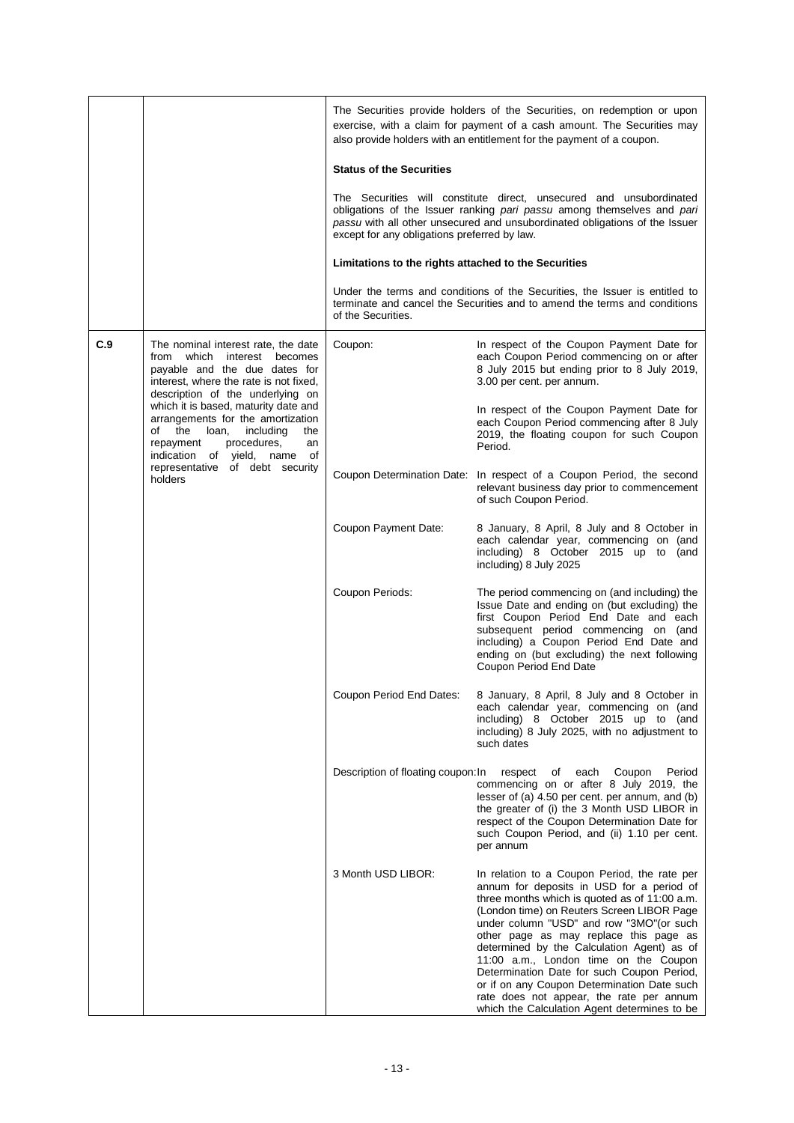|     |                                                                                                                                                                                         | The Securities provide holders of the Securities, on redemption or upon<br>exercise, with a claim for payment of a cash amount. The Securities may<br>also provide holders with an entitlement for the payment of a coupon.                                                                                                                                                                                                                                                                                                                                     |                                                                                                                                                                                              |  |  |  |
|-----|-----------------------------------------------------------------------------------------------------------------------------------------------------------------------------------------|-----------------------------------------------------------------------------------------------------------------------------------------------------------------------------------------------------------------------------------------------------------------------------------------------------------------------------------------------------------------------------------------------------------------------------------------------------------------------------------------------------------------------------------------------------------------|----------------------------------------------------------------------------------------------------------------------------------------------------------------------------------------------|--|--|--|
|     |                                                                                                                                                                                         | <b>Status of the Securities</b><br>The Securities will constitute direct, unsecured and unsubordinated<br>obligations of the Issuer ranking pari passu among themselves and pari<br>passu with all other unsecured and unsubordinated obligations of the Issuer<br>except for any obligations preferred by law.<br>Limitations to the rights attached to the Securities                                                                                                                                                                                         |                                                                                                                                                                                              |  |  |  |
|     |                                                                                                                                                                                         |                                                                                                                                                                                                                                                                                                                                                                                                                                                                                                                                                                 |                                                                                                                                                                                              |  |  |  |
|     |                                                                                                                                                                                         |                                                                                                                                                                                                                                                                                                                                                                                                                                                                                                                                                                 |                                                                                                                                                                                              |  |  |  |
|     |                                                                                                                                                                                         | Under the terms and conditions of the Securities, the Issuer is entitled to<br>terminate and cancel the Securities and to amend the terms and conditions<br>of the Securities.                                                                                                                                                                                                                                                                                                                                                                                  |                                                                                                                                                                                              |  |  |  |
| C.9 | The nominal interest rate, the date<br>from<br>which<br>interest becomes<br>payable and the due dates for<br>interest, where the rate is not fixed,<br>description of the underlying on | Coupon:                                                                                                                                                                                                                                                                                                                                                                                                                                                                                                                                                         | In respect of the Coupon Payment Date for<br>each Coupon Period commencing on or after<br>8 July 2015 but ending prior to 8 July 2019,<br>3.00 per cent. per annum.                          |  |  |  |
|     | which it is based, maturity date and<br>arrangements for the amortization<br>of the<br>loan, including<br>the<br>procedures,<br>repayment<br>an<br>indication of yield, name<br>of      |                                                                                                                                                                                                                                                                                                                                                                                                                                                                                                                                                                 | In respect of the Coupon Payment Date for<br>each Coupon Period commencing after 8 July<br>2019, the floating coupon for such Coupon<br>Period.                                              |  |  |  |
|     | representative of debt security<br>holders                                                                                                                                              |                                                                                                                                                                                                                                                                                                                                                                                                                                                                                                                                                                 | Coupon Determination Date: In respect of a Coupon Period, the second<br>relevant business day prior to commencement<br>of such Coupon Period.                                                |  |  |  |
|     |                                                                                                                                                                                         | Coupon Payment Date:                                                                                                                                                                                                                                                                                                                                                                                                                                                                                                                                            | 8 January, 8 April, 8 July and 8 October in<br>each calendar year, commencing on (and<br>including) 8 October 2015 up to (and<br>including) 8 July 2025                                      |  |  |  |
|     | Coupon Periods:                                                                                                                                                                         | The period commencing on (and including) the<br>Issue Date and ending on (but excluding) the<br>first Coupon Period End Date and each<br>subsequent period commencing on (and<br>including) a Coupon Period End Date and<br>ending on (but excluding) the next following<br>Coupon Period End Date                                                                                                                                                                                                                                                              |                                                                                                                                                                                              |  |  |  |
|     |                                                                                                                                                                                         | Coupon Period End Dates:                                                                                                                                                                                                                                                                                                                                                                                                                                                                                                                                        | 8 January, 8 April, 8 July and 8 October in<br>each calendar year, commencing on (and<br>including) 8 October 2015 up to (and<br>including) 8 July 2025, with no adjustment to<br>such dates |  |  |  |
|     | Description of floating coupon: In                                                                                                                                                      | Coupon<br>respect<br>each<br>Period<br>of<br>commencing on or after 8 July 2019, the<br>lesser of (a) 4.50 per cent. per annum, and (b)<br>the greater of (i) the 3 Month USD LIBOR in<br>respect of the Coupon Determination Date for<br>such Coupon Period, and (ii) 1.10 per cent.<br>per annum                                                                                                                                                                                                                                                              |                                                                                                                                                                                              |  |  |  |
|     | 3 Month USD LIBOR:                                                                                                                                                                      | In relation to a Coupon Period, the rate per<br>annum for deposits in USD for a period of<br>three months which is quoted as of 11:00 a.m.<br>(London time) on Reuters Screen LIBOR Page<br>under column "USD" and row "3MO" (or such<br>other page as may replace this page as<br>determined by the Calculation Agent) as of<br>11:00 a.m., London time on the Coupon<br>Determination Date for such Coupon Period,<br>or if on any Coupon Determination Date such<br>rate does not appear, the rate per annum<br>which the Calculation Agent determines to be |                                                                                                                                                                                              |  |  |  |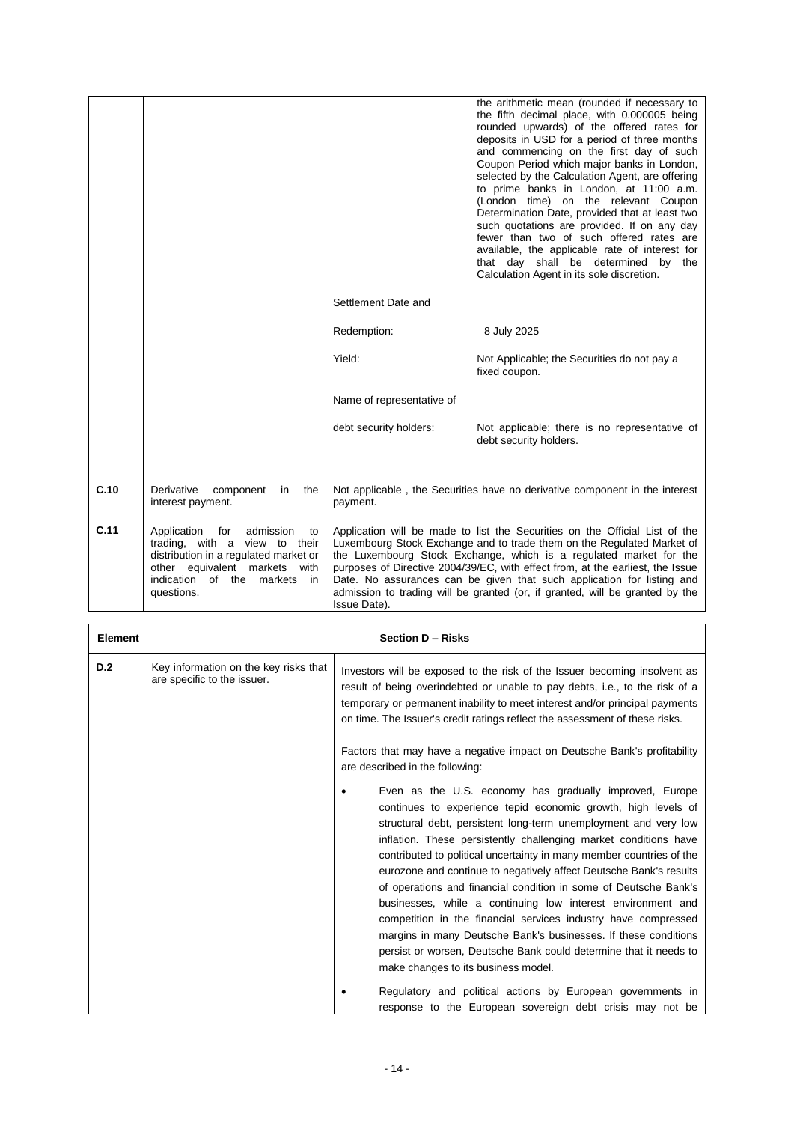|      |                                                                                                                                                                                                      |                                                                                                                                                                                                                                                                                                                                                                                                                                                                                         | the arithmetic mean (rounded if necessary to<br>the fifth decimal place, with 0.000005 being<br>rounded upwards) of the offered rates for<br>deposits in USD for a period of three months<br>and commencing on the first day of such<br>Coupon Period which major banks in London,<br>selected by the Calculation Agent, are offering<br>to prime banks in London, at 11:00 a.m.<br>(London time) on the relevant Coupon<br>Determination Date, provided that at least two<br>such quotations are provided. If on any day<br>fewer than two of such offered rates are<br>available, the applicable rate of interest for<br>that day shall be determined by the<br>Calculation Agent in its sole discretion. |
|------|------------------------------------------------------------------------------------------------------------------------------------------------------------------------------------------------------|-----------------------------------------------------------------------------------------------------------------------------------------------------------------------------------------------------------------------------------------------------------------------------------------------------------------------------------------------------------------------------------------------------------------------------------------------------------------------------------------|-------------------------------------------------------------------------------------------------------------------------------------------------------------------------------------------------------------------------------------------------------------------------------------------------------------------------------------------------------------------------------------------------------------------------------------------------------------------------------------------------------------------------------------------------------------------------------------------------------------------------------------------------------------------------------------------------------------|
|      |                                                                                                                                                                                                      | Settlement Date and                                                                                                                                                                                                                                                                                                                                                                                                                                                                     |                                                                                                                                                                                                                                                                                                                                                                                                                                                                                                                                                                                                                                                                                                             |
|      |                                                                                                                                                                                                      | Redemption:                                                                                                                                                                                                                                                                                                                                                                                                                                                                             | 8 July 2025                                                                                                                                                                                                                                                                                                                                                                                                                                                                                                                                                                                                                                                                                                 |
|      |                                                                                                                                                                                                      | Yield:                                                                                                                                                                                                                                                                                                                                                                                                                                                                                  | Not Applicable; the Securities do not pay a<br>fixed coupon.                                                                                                                                                                                                                                                                                                                                                                                                                                                                                                                                                                                                                                                |
|      |                                                                                                                                                                                                      | Name of representative of                                                                                                                                                                                                                                                                                                                                                                                                                                                               |                                                                                                                                                                                                                                                                                                                                                                                                                                                                                                                                                                                                                                                                                                             |
|      |                                                                                                                                                                                                      | debt security holders:                                                                                                                                                                                                                                                                                                                                                                                                                                                                  | Not applicable; there is no representative of<br>debt security holders.                                                                                                                                                                                                                                                                                                                                                                                                                                                                                                                                                                                                                                     |
| C.10 | Derivative<br>component<br>the<br>in<br>interest payment.                                                                                                                                            | Not applicable, the Securities have no derivative component in the interest<br>payment.                                                                                                                                                                                                                                                                                                                                                                                                 |                                                                                                                                                                                                                                                                                                                                                                                                                                                                                                                                                                                                                                                                                                             |
| C.11 | Application<br>admission<br>for<br>to<br>trading, with a view to their<br>distribution in a regulated market or<br>other equivalent markets<br>with<br>indication of the markets<br>in<br>questions. | Application will be made to list the Securities on the Official List of the<br>Luxembourg Stock Exchange and to trade them on the Regulated Market of<br>the Luxembourg Stock Exchange, which is a regulated market for the<br>purposes of Directive 2004/39/EC, with effect from, at the earliest, the Issue<br>Date. No assurances can be given that such application for listing and<br>admission to trading will be granted (or, if granted, will be granted by the<br>Issue Date). |                                                                                                                                                                                                                                                                                                                                                                                                                                                                                                                                                                                                                                                                                                             |

| <b>Element</b> | <b>Section D - Risks</b>                                             |                                                                                                                                                                                                                                                                                                                                                                                                                                                                                                                                                                                                                                                                                                                                                                                                   |  |
|----------------|----------------------------------------------------------------------|---------------------------------------------------------------------------------------------------------------------------------------------------------------------------------------------------------------------------------------------------------------------------------------------------------------------------------------------------------------------------------------------------------------------------------------------------------------------------------------------------------------------------------------------------------------------------------------------------------------------------------------------------------------------------------------------------------------------------------------------------------------------------------------------------|--|
| D.2            | Key information on the key risks that<br>are specific to the issuer. | Investors will be exposed to the risk of the Issuer becoming insolvent as<br>result of being overindebted or unable to pay debts, i.e., to the risk of a<br>temporary or permanent inability to meet interest and/or principal payments<br>on time. The Issuer's credit ratings reflect the assessment of these risks.<br>Factors that may have a negative impact on Deutsche Bank's profitability<br>are described in the following:                                                                                                                                                                                                                                                                                                                                                             |  |
|                |                                                                      |                                                                                                                                                                                                                                                                                                                                                                                                                                                                                                                                                                                                                                                                                                                                                                                                   |  |
|                |                                                                      | Even as the U.S. economy has gradually improved, Europe<br>continues to experience tepid economic growth, high levels of<br>structural debt, persistent long-term unemployment and very low<br>inflation. These persistently challenging market conditions have<br>contributed to political uncertainty in many member countries of the<br>eurozone and continue to negatively affect Deutsche Bank's results<br>of operations and financial condition in some of Deutsche Bank's<br>businesses, while a continuing low interest environment and<br>competition in the financial services industry have compressed<br>margins in many Deutsche Bank's businesses. If these conditions<br>persist or worsen, Deutsche Bank could determine that it needs to<br>make changes to its business model. |  |
|                |                                                                      | Regulatory and political actions by European governments in<br>response to the European sovereign debt crisis may not be                                                                                                                                                                                                                                                                                                                                                                                                                                                                                                                                                                                                                                                                          |  |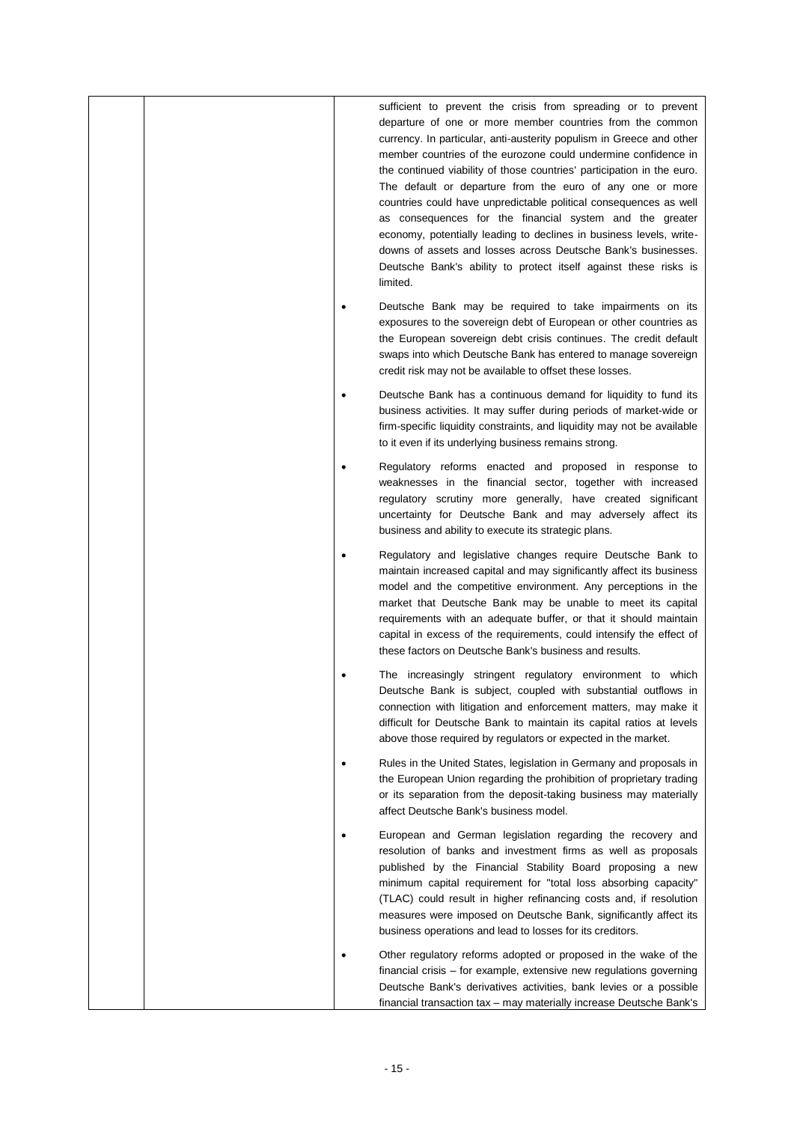|  | sufficient to prevent the crisis from spreading or to prevent<br>departure of one or more member countries from the common<br>currency. In particular, anti-austerity populism in Greece and other<br>member countries of the eurozone could undermine confidence in<br>the continued viability of those countries' participation in the euro.<br>The default or departure from the euro of any one or more<br>countries could have unpredictable political consequences as well<br>as consequences for the financial system and the greater<br>economy, potentially leading to declines in business levels, write-<br>downs of assets and losses across Deutsche Bank's businesses.<br>Deutsche Bank's ability to protect itself against these risks is<br>limited. |
|--|----------------------------------------------------------------------------------------------------------------------------------------------------------------------------------------------------------------------------------------------------------------------------------------------------------------------------------------------------------------------------------------------------------------------------------------------------------------------------------------------------------------------------------------------------------------------------------------------------------------------------------------------------------------------------------------------------------------------------------------------------------------------|
|  | Deutsche Bank may be required to take impairments on its<br>exposures to the sovereign debt of European or other countries as<br>the European sovereign debt crisis continues. The credit default<br>swaps into which Deutsche Bank has entered to manage sovereign<br>credit risk may not be available to offset these losses.                                                                                                                                                                                                                                                                                                                                                                                                                                      |
|  | Deutsche Bank has a continuous demand for liquidity to fund its<br>business activities. It may suffer during periods of market-wide or<br>firm-specific liquidity constraints, and liquidity may not be available<br>to it even if its underlying business remains strong.                                                                                                                                                                                                                                                                                                                                                                                                                                                                                           |
|  | Regulatory reforms enacted and proposed in response to<br>weaknesses in the financial sector, together with increased<br>regulatory scrutiny more generally, have created significant<br>uncertainty for Deutsche Bank and may adversely affect its<br>business and ability to execute its strategic plans.                                                                                                                                                                                                                                                                                                                                                                                                                                                          |
|  | Regulatory and legislative changes require Deutsche Bank to<br>maintain increased capital and may significantly affect its business<br>model and the competitive environment. Any perceptions in the<br>market that Deutsche Bank may be unable to meet its capital<br>requirements with an adequate buffer, or that it should maintain<br>capital in excess of the requirements, could intensify the effect of<br>these factors on Deutsche Bank's business and results.                                                                                                                                                                                                                                                                                            |
|  | The increasingly stringent regulatory environment to which<br>Deutsche Bank is subject, coupled with substantial outflows in<br>connection with litigation and enforcement matters, may make it<br>difficult for Deutsche Bank to maintain its capital ratios at levels<br>above those required by regulators or expected in the market.                                                                                                                                                                                                                                                                                                                                                                                                                             |
|  | Rules in the United States, legislation in Germany and proposals in<br>the European Union regarding the prohibition of proprietary trading<br>or its separation from the deposit-taking business may materially<br>affect Deutsche Bank's business model.                                                                                                                                                                                                                                                                                                                                                                                                                                                                                                            |
|  | European and German legislation regarding the recovery and<br>resolution of banks and investment firms as well as proposals<br>published by the Financial Stability Board proposing a new<br>minimum capital requirement for "total loss absorbing capacity"<br>(TLAC) could result in higher refinancing costs and, if resolution<br>measures were imposed on Deutsche Bank, significantly affect its<br>business operations and lead to losses for its creditors.                                                                                                                                                                                                                                                                                                  |
|  | Other regulatory reforms adopted or proposed in the wake of the<br>financial crisis – for example, extensive new regulations governing<br>Deutsche Bank's derivatives activities, bank levies or a possible<br>financial transaction tax - may materially increase Deutsche Bank's                                                                                                                                                                                                                                                                                                                                                                                                                                                                                   |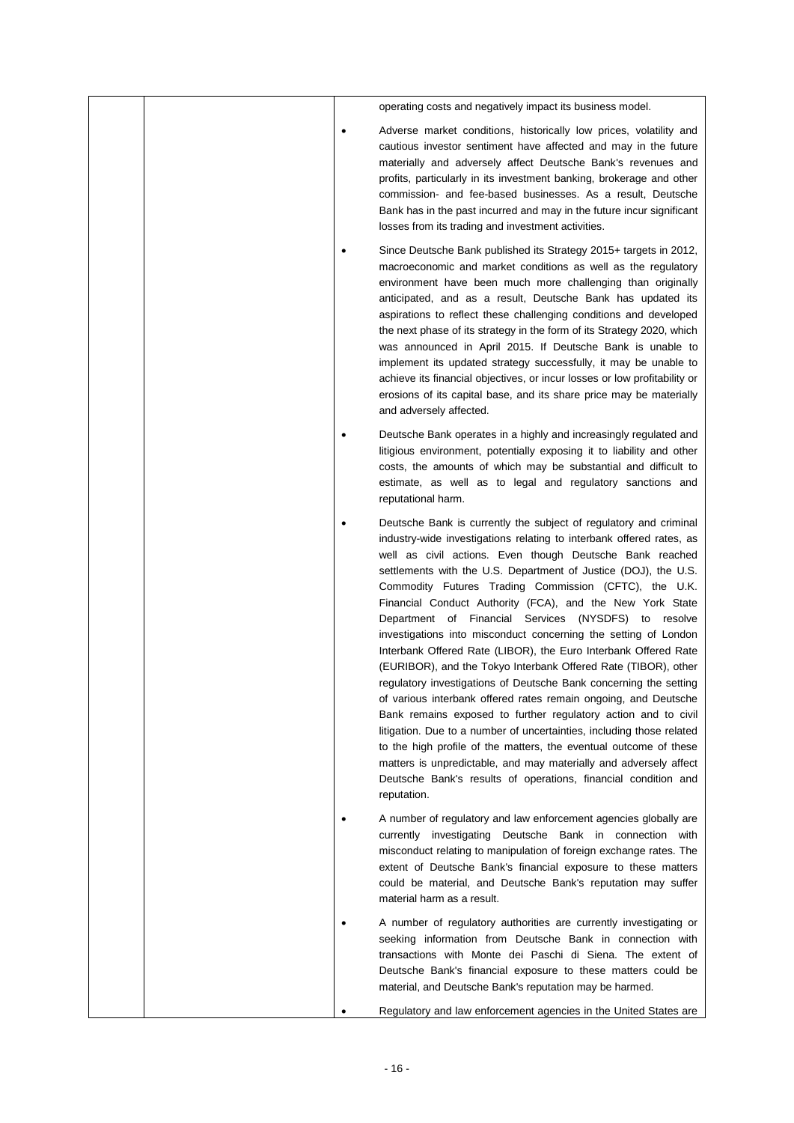|  |           | operating costs and negatively impact its business model.                                                                                                                                                                                                                                                                                                                                                                                                                                                                                                                                                                                                                                                                                                                                                                                                                                                                                                                                                                                                                                                                                                                    |
|--|-----------|------------------------------------------------------------------------------------------------------------------------------------------------------------------------------------------------------------------------------------------------------------------------------------------------------------------------------------------------------------------------------------------------------------------------------------------------------------------------------------------------------------------------------------------------------------------------------------------------------------------------------------------------------------------------------------------------------------------------------------------------------------------------------------------------------------------------------------------------------------------------------------------------------------------------------------------------------------------------------------------------------------------------------------------------------------------------------------------------------------------------------------------------------------------------------|
|  |           | Adverse market conditions, historically low prices, volatility and<br>cautious investor sentiment have affected and may in the future<br>materially and adversely affect Deutsche Bank's revenues and<br>profits, particularly in its investment banking, brokerage and other<br>commission- and fee-based businesses. As a result, Deutsche<br>Bank has in the past incurred and may in the future incur significant<br>losses from its trading and investment activities.                                                                                                                                                                                                                                                                                                                                                                                                                                                                                                                                                                                                                                                                                                  |
|  | $\bullet$ | Since Deutsche Bank published its Strategy 2015+ targets in 2012,<br>macroeconomic and market conditions as well as the regulatory<br>environment have been much more challenging than originally<br>anticipated, and as a result, Deutsche Bank has updated its<br>aspirations to reflect these challenging conditions and developed<br>the next phase of its strategy in the form of its Strategy 2020, which<br>was announced in April 2015. If Deutsche Bank is unable to<br>implement its updated strategy successfully, it may be unable to<br>achieve its financial objectives, or incur losses or low profitability or<br>erosions of its capital base, and its share price may be materially<br>and adversely affected.                                                                                                                                                                                                                                                                                                                                                                                                                                             |
|  | $\bullet$ | Deutsche Bank operates in a highly and increasingly regulated and<br>litigious environment, potentially exposing it to liability and other<br>costs, the amounts of which may be substantial and difficult to<br>estimate, as well as to legal and regulatory sanctions and<br>reputational harm.                                                                                                                                                                                                                                                                                                                                                                                                                                                                                                                                                                                                                                                                                                                                                                                                                                                                            |
|  | $\bullet$ | Deutsche Bank is currently the subject of regulatory and criminal<br>industry-wide investigations relating to interbank offered rates, as<br>well as civil actions. Even though Deutsche Bank reached<br>settlements with the U.S. Department of Justice (DOJ), the U.S.<br>Commodity Futures Trading Commission (CFTC), the U.K.<br>Financial Conduct Authority (FCA), and the New York State<br>Department of Financial Services (NYSDFS) to resolve<br>investigations into misconduct concerning the setting of London<br>Interbank Offered Rate (LIBOR), the Euro Interbank Offered Rate<br>(EURIBOR), and the Tokyo Interbank Offered Rate (TIBOR), other<br>regulatory investigations of Deutsche Bank concerning the setting<br>of various interbank offered rates remain ongoing, and Deutsche<br>Bank remains exposed to further regulatory action and to civil<br>litigation. Due to a number of uncertainties, including those related<br>to the high profile of the matters, the eventual outcome of these<br>matters is unpredictable, and may materially and adversely affect<br>Deutsche Bank's results of operations, financial condition and<br>reputation. |
|  |           | A number of regulatory and law enforcement agencies globally are<br>currently investigating Deutsche Bank in connection with<br>misconduct relating to manipulation of foreign exchange rates. The<br>extent of Deutsche Bank's financial exposure to these matters<br>could be material, and Deutsche Bank's reputation may suffer<br>material harm as a result.                                                                                                                                                                                                                                                                                                                                                                                                                                                                                                                                                                                                                                                                                                                                                                                                            |
|  |           | A number of regulatory authorities are currently investigating or<br>seeking information from Deutsche Bank in connection with<br>transactions with Monte dei Paschi di Siena. The extent of<br>Deutsche Bank's financial exposure to these matters could be<br>material, and Deutsche Bank's reputation may be harmed.                                                                                                                                                                                                                                                                                                                                                                                                                                                                                                                                                                                                                                                                                                                                                                                                                                                      |
|  |           | Regulatory and law enforcement agencies in the United States are                                                                                                                                                                                                                                                                                                                                                                                                                                                                                                                                                                                                                                                                                                                                                                                                                                                                                                                                                                                                                                                                                                             |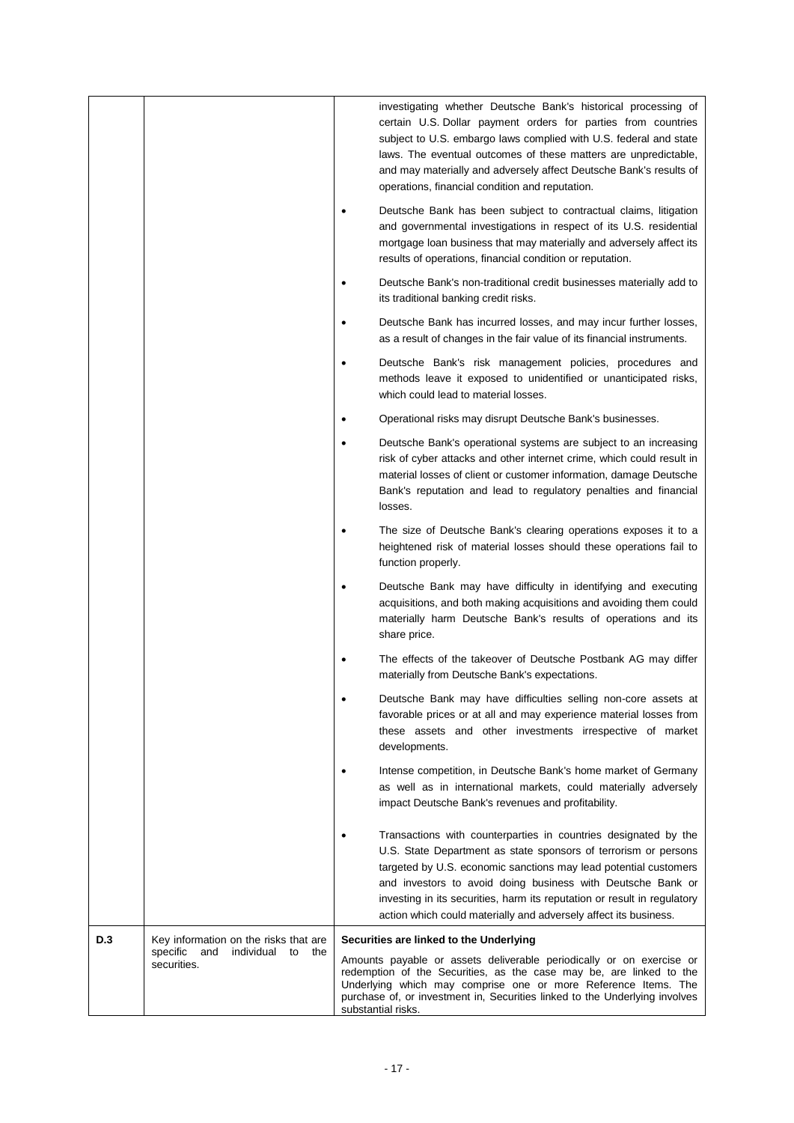|     |                                                        |           | investigating whether Deutsche Bank's historical processing of<br>certain U.S. Dollar payment orders for parties from countries<br>subject to U.S. embargo laws complied with U.S. federal and state<br>laws. The eventual outcomes of these matters are unpredictable,<br>and may materially and adversely affect Deutsche Bank's results of                                                                         |
|-----|--------------------------------------------------------|-----------|-----------------------------------------------------------------------------------------------------------------------------------------------------------------------------------------------------------------------------------------------------------------------------------------------------------------------------------------------------------------------------------------------------------------------|
|     |                                                        |           | operations, financial condition and reputation.<br>Deutsche Bank has been subject to contractual claims, litigation<br>and governmental investigations in respect of its U.S. residential<br>mortgage loan business that may materially and adversely affect its<br>results of operations, financial condition or reputation.                                                                                         |
|     |                                                        | $\bullet$ | Deutsche Bank's non-traditional credit businesses materially add to<br>its traditional banking credit risks.                                                                                                                                                                                                                                                                                                          |
|     |                                                        | $\bullet$ | Deutsche Bank has incurred losses, and may incur further losses,<br>as a result of changes in the fair value of its financial instruments.                                                                                                                                                                                                                                                                            |
|     |                                                        | $\bullet$ | Deutsche Bank's risk management policies, procedures and<br>methods leave it exposed to unidentified or unanticipated risks,<br>which could lead to material losses.                                                                                                                                                                                                                                                  |
|     |                                                        |           | Operational risks may disrupt Deutsche Bank's businesses.                                                                                                                                                                                                                                                                                                                                                             |
|     |                                                        |           | Deutsche Bank's operational systems are subject to an increasing<br>risk of cyber attacks and other internet crime, which could result in<br>material losses of client or customer information, damage Deutsche<br>Bank's reputation and lead to regulatory penalties and financial<br>losses.                                                                                                                        |
|     |                                                        | $\bullet$ | The size of Deutsche Bank's clearing operations exposes it to a<br>heightened risk of material losses should these operations fail to<br>function properly.                                                                                                                                                                                                                                                           |
|     |                                                        |           | Deutsche Bank may have difficulty in identifying and executing<br>acquisitions, and both making acquisitions and avoiding them could<br>materially harm Deutsche Bank's results of operations and its<br>share price.                                                                                                                                                                                                 |
|     |                                                        |           | The effects of the takeover of Deutsche Postbank AG may differ<br>materially from Deutsche Bank's expectations.                                                                                                                                                                                                                                                                                                       |
|     |                                                        |           | Deutsche Bank may have difficulties selling non-core assets at<br>favorable prices or at all and may experience material losses from<br>these assets and other investments irrespective of market<br>developments.                                                                                                                                                                                                    |
|     |                                                        |           | Intense competition, in Deutsche Bank's home market of Germany<br>as well as in international markets, could materially adversely<br>impact Deutsche Bank's revenues and profitability.                                                                                                                                                                                                                               |
|     |                                                        |           | Transactions with counterparties in countries designated by the<br>U.S. State Department as state sponsors of terrorism or persons<br>targeted by U.S. economic sanctions may lead potential customers<br>and investors to avoid doing business with Deutsche Bank or<br>investing in its securities, harm its reputation or result in regulatory<br>action which could materially and adversely affect its business. |
| D.3 | Key information on the risks that are                  |           | Securities are linked to the Underlying                                                                                                                                                                                                                                                                                                                                                                               |
|     | specific<br>and<br>individual<br>to the<br>securities. |           | Amounts payable or assets deliverable periodically or on exercise or<br>redemption of the Securities, as the case may be, are linked to the<br>Underlying which may comprise one or more Reference Items. The<br>purchase of, or investment in, Securities linked to the Underlying involves<br>substantial risks.                                                                                                    |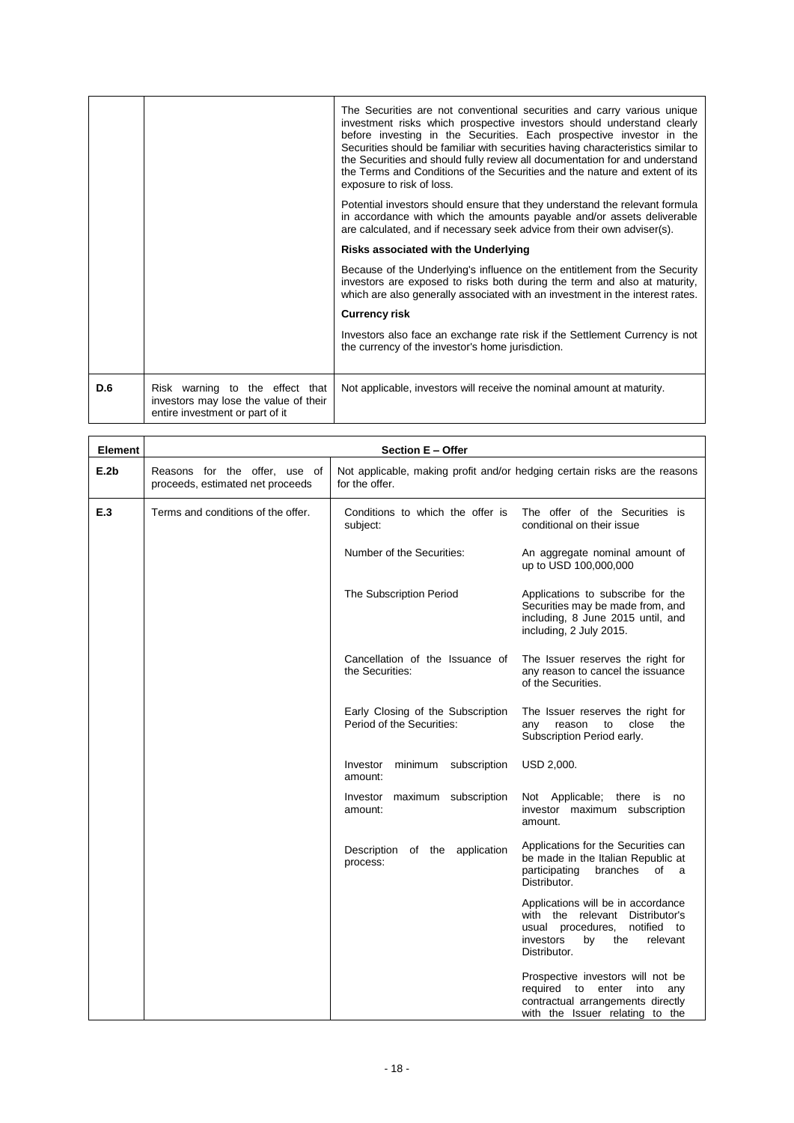|     |                                                                                                             | The Securities are not conventional securities and carry various unique<br>investment risks which prospective investors should understand clearly<br>before investing in the Securities. Each prospective investor in the<br>Securities should be familiar with securities having characteristics similar to<br>the Securities and should fully review all documentation for and understand<br>the Terms and Conditions of the Securities and the nature and extent of its<br>exposure to risk of loss. |
|-----|-------------------------------------------------------------------------------------------------------------|---------------------------------------------------------------------------------------------------------------------------------------------------------------------------------------------------------------------------------------------------------------------------------------------------------------------------------------------------------------------------------------------------------------------------------------------------------------------------------------------------------|
|     |                                                                                                             | Potential investors should ensure that they understand the relevant formula<br>in accordance with which the amounts payable and/or assets deliverable<br>are calculated, and if necessary seek advice from their own adviser(s).                                                                                                                                                                                                                                                                        |
|     |                                                                                                             | Risks associated with the Underlying                                                                                                                                                                                                                                                                                                                                                                                                                                                                    |
|     |                                                                                                             | Because of the Underlying's influence on the entitlement from the Security<br>investors are exposed to risks both during the term and also at maturity,<br>which are also generally associated with an investment in the interest rates.                                                                                                                                                                                                                                                                |
|     |                                                                                                             | <b>Currency risk</b>                                                                                                                                                                                                                                                                                                                                                                                                                                                                                    |
|     |                                                                                                             | Investors also face an exchange rate risk if the Settlement Currency is not<br>the currency of the investor's home jurisdiction.                                                                                                                                                                                                                                                                                                                                                                        |
| D.6 | Risk warning to the effect that<br>investors may lose the value of their<br>entire investment or part of it | Not applicable, investors will receive the nominal amount at maturity.                                                                                                                                                                                                                                                                                                                                                                                                                                  |

| <b>Element</b> | Section E - Offer                                                 |                                                                |                                                                                                                                                                 |  |
|----------------|-------------------------------------------------------------------|----------------------------------------------------------------|-----------------------------------------------------------------------------------------------------------------------------------------------------------------|--|
| E.2b           | Reasons for the offer, use of<br>proceeds, estimated net proceeds | for the offer.                                                 | Not applicable, making profit and/or hedging certain risks are the reasons                                                                                      |  |
| E.3            | Terms and conditions of the offer.                                | Conditions to which the offer is<br>subject:                   | The offer of the Securities is<br>conditional on their issue                                                                                                    |  |
|                |                                                                   | Number of the Securities:                                      | An aggregate nominal amount of<br>up to USD 100,000,000                                                                                                         |  |
|                |                                                                   | The Subscription Period                                        | Applications to subscribe for the<br>Securities may be made from, and<br>including, 8 June 2015 until, and<br>including, 2 July 2015.                           |  |
|                |                                                                   | Cancellation of the Issuance of<br>the Securities:             | The Issuer reserves the right for<br>any reason to cancel the issuance<br>of the Securities.                                                                    |  |
|                |                                                                   | Early Closing of the Subscription<br>Period of the Securities: | The Issuer reserves the right for<br>close<br>any<br>reason<br>to<br>the<br>Subscription Period early.                                                          |  |
|                |                                                                   | minimum<br>subscription<br>Investor<br>amount:                 | USD 2,000.                                                                                                                                                      |  |
|                |                                                                   | Investor maximum subscription<br>amount:                       | Not Applicable; there<br><b>is</b><br>no.<br>investor maximum subscription<br>amount.                                                                           |  |
|                |                                                                   | application<br>Description<br>of the<br>process:               | Applications for the Securities can<br>be made in the Italian Republic at<br>participating<br>branches<br>of<br>a a<br>Distributor.                             |  |
|                |                                                                   |                                                                | Applications will be in accordance<br>with the relevant Distributor's<br>notified to<br>usual procedures,<br>investors<br>by<br>the<br>relevant<br>Distributor. |  |
|                |                                                                   |                                                                | Prospective investors will not be<br>required to<br>enter<br>into<br>any<br>contractual arrangements directly<br>with the Issuer relating to the                |  |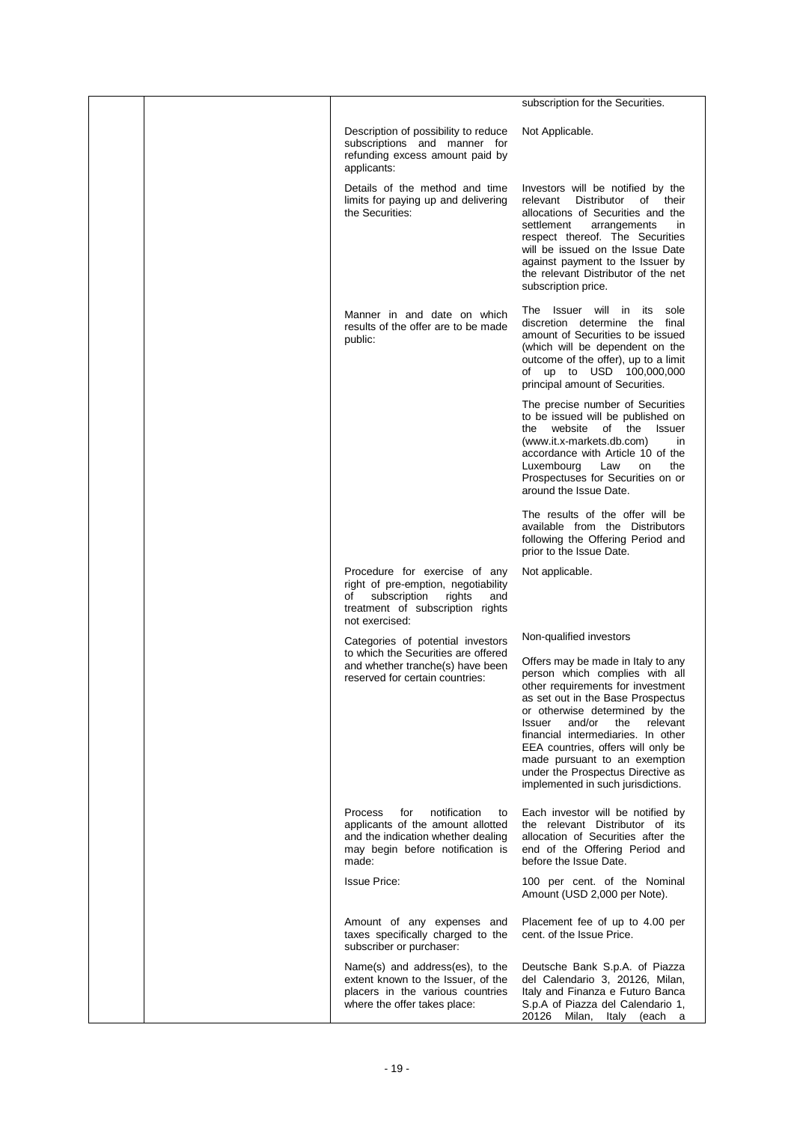|  |                                                                                                                                                                   | subscription for the Securities.                                                                                                                                                                                                                                                                                                                                                                                                           |
|--|-------------------------------------------------------------------------------------------------------------------------------------------------------------------|--------------------------------------------------------------------------------------------------------------------------------------------------------------------------------------------------------------------------------------------------------------------------------------------------------------------------------------------------------------------------------------------------------------------------------------------|
|  | Description of possibility to reduce<br>subscriptions and manner for<br>refunding excess amount paid by<br>applicants:                                            | Not Applicable.                                                                                                                                                                                                                                                                                                                                                                                                                            |
|  | Details of the method and time<br>limits for paying up and delivering<br>the Securities:                                                                          | Investors will be notified by the<br>Distributor<br>of their<br>relevant<br>allocations of Securities and the<br>settlement<br>arrangements<br>in<br>respect thereof. The Securities<br>will be issued on the Issue Date<br>against payment to the Issuer by<br>the relevant Distributor of the net<br>subscription price.                                                                                                                 |
|  | Manner in and date on which<br>results of the offer are to be made<br>public:                                                                                     | Issuer will in<br>its<br>sole<br>⊤he<br>discretion determine<br>the<br>final<br>amount of Securities to be issued<br>(which will be dependent on the<br>outcome of the offer), up to a limit<br>of up to USD 100,000,000<br>principal amount of Securities.                                                                                                                                                                                |
|  |                                                                                                                                                                   | The precise number of Securities<br>to be issued will be published on<br>website<br>the<br>of the<br>Issuer<br>(www.it.x-markets.db.com)<br>in<br>accordance with Article 10 of the<br>Luxembourg<br>Law<br>the<br>on<br>Prospectuses for Securities on or<br>around the Issue Date.                                                                                                                                                       |
|  |                                                                                                                                                                   | The results of the offer will be<br>available from the Distributors<br>following the Offering Period and<br>prior to the Issue Date.                                                                                                                                                                                                                                                                                                       |
|  | Procedure for exercise of any<br>right of pre-emption, negotiability<br>subscription<br>of<br>rights<br>and<br>treatment of subscription rights<br>not exercised: | Not applicable.                                                                                                                                                                                                                                                                                                                                                                                                                            |
|  | Categories of potential investors<br>to which the Securities are offered<br>and whether tranche(s) have been<br>reserved for certain countries:                   | Non-qualified investors<br>Offers may be made in Italy to any<br>person which complies with all<br>other requirements for investment<br>as set out in the Base Prospectus<br>or otherwise determined by the<br>and/or<br>the<br>relevant<br>Issuer<br>financial intermediaries. In other<br>EEA countries, offers will only be<br>made pursuant to an exemption<br>under the Prospectus Directive as<br>implemented in such jurisdictions. |
|  | Process<br>notification<br>for<br>to<br>applicants of the amount allotted<br>and the indication whether dealing<br>may begin before notification is<br>made:      | Each investor will be notified by<br>the relevant Distributor of its<br>allocation of Securities after the<br>end of the Offering Period and<br>before the Issue Date.                                                                                                                                                                                                                                                                     |
|  | <b>Issue Price:</b>                                                                                                                                               | 100 per cent. of the Nominal<br>Amount (USD 2,000 per Note).                                                                                                                                                                                                                                                                                                                                                                               |
|  | Amount of any expenses and<br>taxes specifically charged to the<br>subscriber or purchaser:                                                                       | Placement fee of up to 4.00 per<br>cent. of the Issue Price.                                                                                                                                                                                                                                                                                                                                                                               |
|  | Name(s) and address(es), to the<br>extent known to the Issuer, of the<br>placers in the various countries<br>where the offer takes place:                         | Deutsche Bank S.p.A. of Piazza<br>del Calendario 3, 20126, Milan,<br>Italy and Finanza e Futuro Banca<br>S.p.A of Piazza del Calendario 1,<br>20126 Milan, Italy (each a                                                                                                                                                                                                                                                                   |